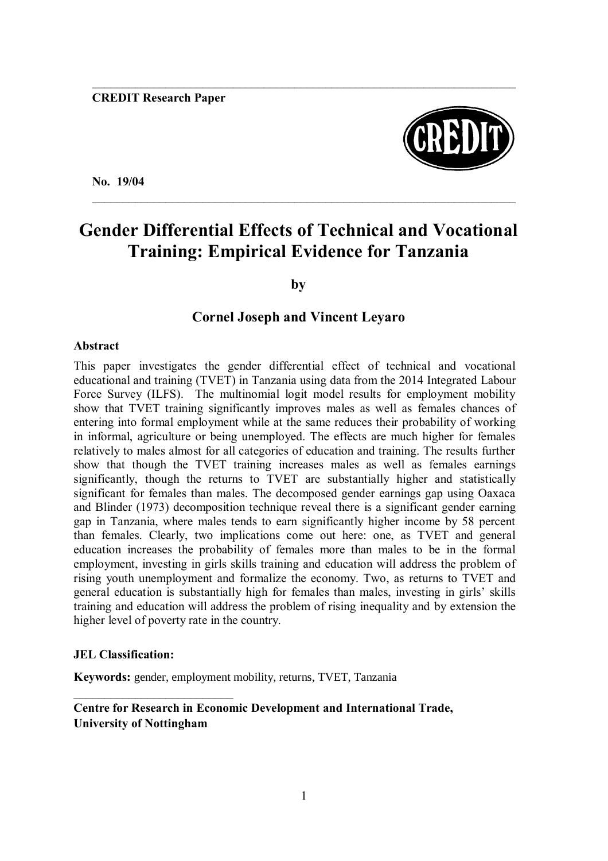

**No. 19/04**

# **Gender Differential Effects of Technical and Vocational Training: Empirical Evidence for Tanzania**

 $\mathcal{L}_\mathcal{L} = \mathcal{L}_\mathcal{L} = \mathcal{L}_\mathcal{L} = \mathcal{L}_\mathcal{L} = \mathcal{L}_\mathcal{L} = \mathcal{L}_\mathcal{L} = \mathcal{L}_\mathcal{L} = \mathcal{L}_\mathcal{L} = \mathcal{L}_\mathcal{L} = \mathcal{L}_\mathcal{L} = \mathcal{L}_\mathcal{L} = \mathcal{L}_\mathcal{L} = \mathcal{L}_\mathcal{L} = \mathcal{L}_\mathcal{L} = \mathcal{L}_\mathcal{L} = \mathcal{L}_\mathcal{L} = \mathcal{L}_\mathcal{L}$ 

**by**

## **Cornel Joseph and Vincent Leyaro**

### **Abstract**

This paper investigates the gender differential effect of technical and vocational educational and training (TVET) in Tanzania using data from the 2014 Integrated Labour Force Survey (ILFS). The multinomial logit model results for employment mobility show that TVET training significantly improves males as well as females chances of entering into formal employment while at the same reduces their probability of working in informal, agriculture or being unemployed. The effects are much higher for females relatively to males almost for all categories of education and training. The results further show that though the TVET training increases males as well as females earnings significantly, though the returns to TVET are substantially higher and statistically significant for females than males. The decomposed gender earnings gap using Oaxaca and Blinder (1973) decomposition technique reveal there is a significant gender earning gap in Tanzania, where males tends to earn significantly higher income by 58 percent than females. Clearly, two implications come out here: one, as TVET and general education increases the probability of females more than males to be in the formal employment, investing in girls skills training and education will address the problem of rising youth unemployment and formalize the economy. Two, as returns to TVET and general education is substantially high for females than males, investing in girls" skills training and education will address the problem of rising inequality and by extension the higher level of poverty rate in the country.

### **JEL Classification:**

**Keywords:** gender, employment mobility, returns, TVET, Tanzania

### **Centre for Research in Economic Development and International Trade, University of Nottingham**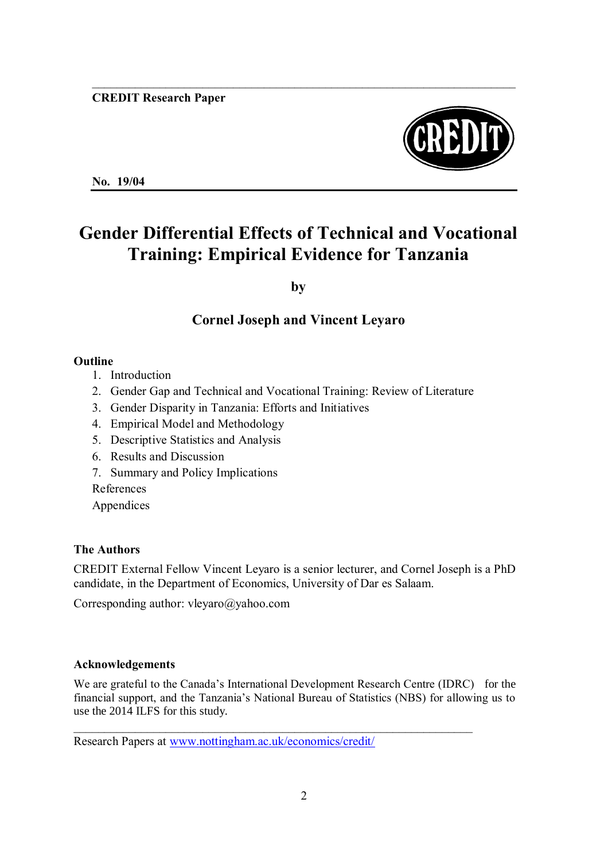

**No. 19/04**

# **Gender Differential Effects of Technical and Vocational Training: Empirical Evidence for Tanzania**

**by**

# **Cornel Joseph and Vincent Leyaro**

## **Outline**

- 1. Introduction
- 2. Gender Gap and Technical and Vocational Training: Review of Literature
- 3. Gender Disparity in Tanzania: Efforts and Initiatives
- 4. Empirical Model and Methodology
- 5. Descriptive Statistics and Analysis
- 6. Results and Discussion
- 7. Summary and Policy Implications

References

Appendices

# **The Authors**

CREDIT External Fellow Vincent Leyaro is a senior lecturer, and Cornel Joseph is a PhD candidate, in the Department of Economics, University of Dar es Salaam.

Corresponding author: vleyaro@yahoo.com

# **Acknowledgements**

We are grateful to the Canada's International Development Research Centre (IDRC) for the financial support, and the Tanzania's National Bureau of Statistics (NBS) for allowing us to use the 2014 ILFS for this study.

Research Papers at [www.nottingham.ac.uk/economics/credit/](http://www.nottingham.ac.uk/economics/credit/)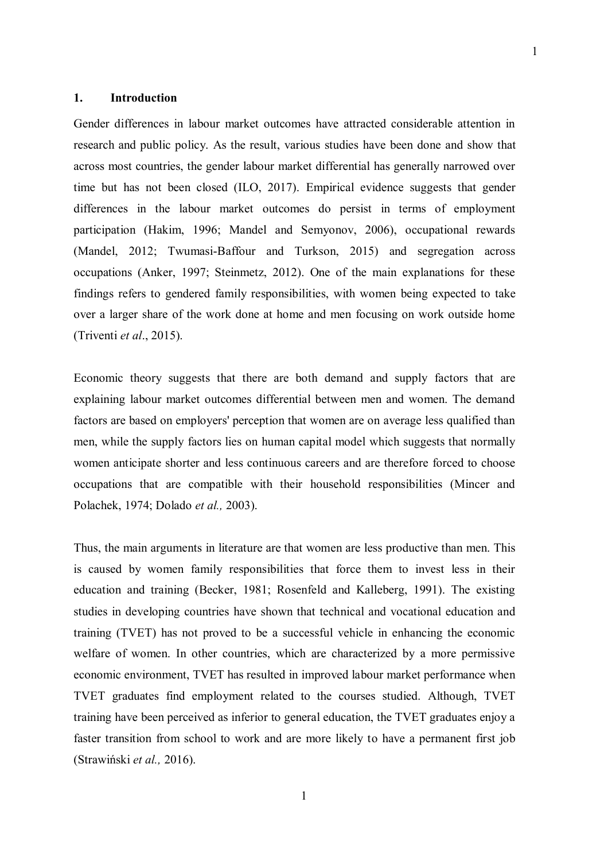#### **1. Introduction**

Gender differences in labour market outcomes have attracted considerable attention in research and public policy. As the result, various studies have been done and show that across most countries, the gender labour market differential has generally narrowed over time but has not been closed (ILO, 2017). Empirical evidence suggests that gender differences in the labour market outcomes do persist in terms of employment participation (Hakim, 1996; Mandel and Semyonov, 2006), occupational rewards (Mandel, 2012; Twumasi-Baffour and Turkson, 2015) and segregation across occupations (Anker, 1997; Steinmetz, 2012). One of the main explanations for these findings refers to gendered family responsibilities, with women being expected to take over a larger share of the work done at home and men focusing on work outside home (Triventi *et al*., 2015).

Economic theory suggests that there are both demand and supply factors that are explaining labour market outcomes differential between men and women. The demand factors are based on employers' perception that women are on average less qualified than men, while the supply factors lies on human capital model which suggests that normally women anticipate shorter and less continuous careers and are therefore forced to choose occupations that are compatible with their household responsibilities (Mincer and Polachek, 1974; Dolado *et al.,* 2003).

Thus, the main arguments in literature are that women are less productive than men. This is caused by women family responsibilities that force them to invest less in their education and training (Becker, 1981; Rosenfeld and Kalleberg, 1991). The existing studies in developing countries have shown that technical and vocational education and training (TVET) has not proved to be a successful vehicle in enhancing the economic welfare of women. In other countries, which are characterized by a more permissive economic environment, TVET has resulted in improved labour market performance when TVET graduates find employment related to the courses studied. Although, TVET training have been perceived as inferior to general education, the TVET graduates enjoy a faster transition from school to work and are more likely to have a permanent first job (Strawiński *et al.,* 2016).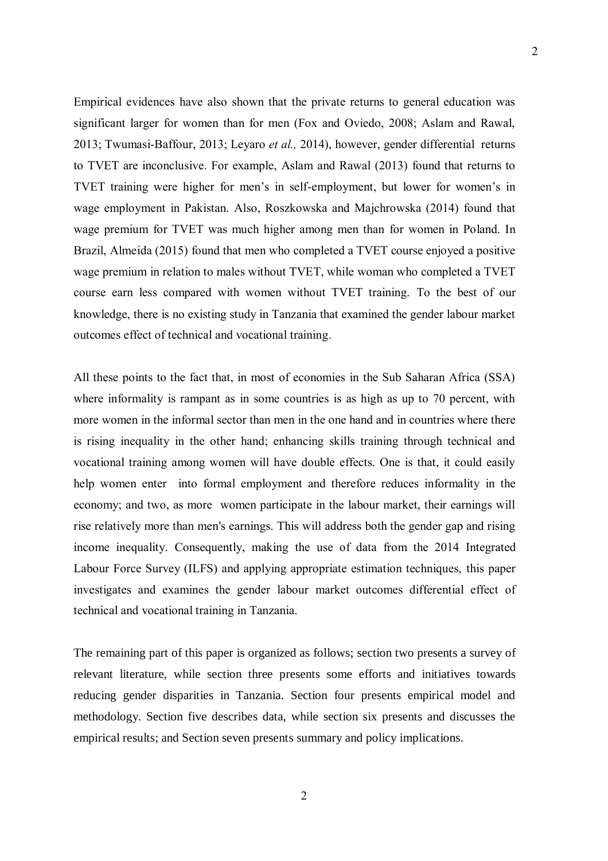Empirical evidences have also shown that the private returns to general education was significant larger for women than for men (Fox and Oviedo, 2008; Aslam and Rawal, 2013; Twumasi-Baffour, 2013; Leyaro *et al.,* 2014), however, gender differential returns to TVET are inconclusive. For example, Aslam and Rawal (2013) found that returns to TVET training were higher for men's in self-employment, but lower for women's in wage employment in Pakistan. Also, Roszkowska and Majchrowska (2014) found that wage premium for TVET was much higher among men than for women in Poland. In Brazil, Almeida (2015) found that men who completed a TVET course enjoyed a positive wage premium in relation to males without TVET, while woman who completed a TVET course earn less compared with women without TVET training. To the best of our knowledge, there is no existing study in Tanzania that examined the gender labour market outcomes effect of technical and vocational training.

All these points to the fact that, in most of economies in the Sub Saharan Africa (SSA) where informality is rampant as in some countries is as high as up to 70 percent, with more women in the informal sector than men in the one hand and in countries where there is rising inequality in the other hand; enhancing skills training through technical and vocational training among women will have double effects. One is that, it could easily help women enter into formal employment and therefore reduces informality in the economy; and two, as more women participate in the labour market, their earnings will rise relatively more than men's earnings. This will address both the gender gap and rising income inequality. Consequently, making the use of data from the 2014 Integrated Labour Force Survey (ILFS) and applying appropriate estimation techniques, this paper investigates and examines the gender labour market outcomes differential effect of technical and vocational training in Tanzania.

The remaining part of this paper is organized as follows; section two presents a survey of relevant literature, while section three presents some efforts and initiatives towards reducing gender disparities in Tanzania. Section four presents empirical model and methodology. Section five describes data, while section six presents and discusses the empirical results; and Section seven presents summary and policy implications.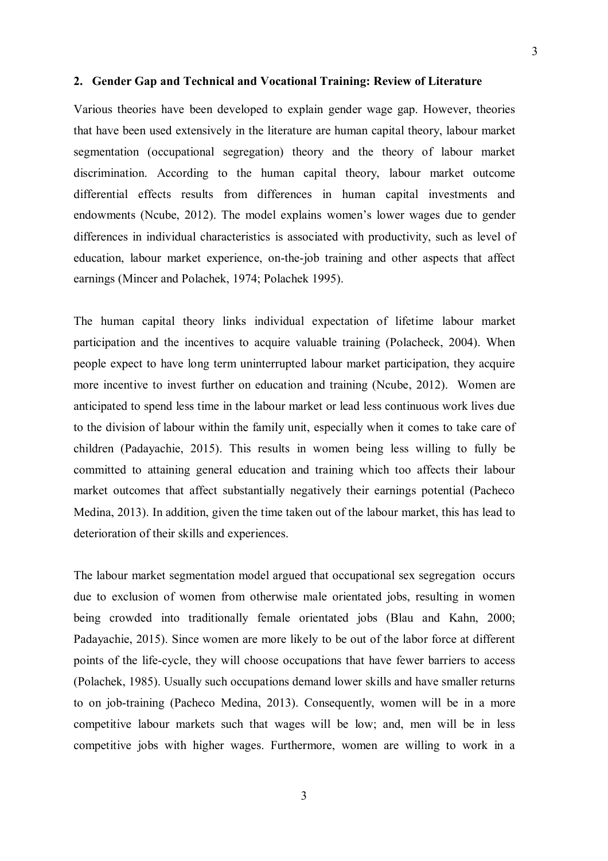#### **2. Gender Gap and Technical and Vocational Training: Review of Literature**

Various theories have been developed to explain gender wage gap. However, theories that have been used extensively in the literature are human capital theory, labour market segmentation (occupational segregation) theory and the theory of labour market discrimination. According to the human capital theory, labour market outcome differential effects results from differences in human capital investments and endowments (Ncube, 2012). The model explains women's lower wages due to gender differences in individual characteristics is associated with productivity, such as level of education, labour market experience, on-the-job training and other aspects that affect earnings (Mincer and Polachek, 1974; Polachek 1995).

The human capital theory links individual expectation of lifetime labour market participation and the incentives to acquire valuable training (Polacheck, 2004). When people expect to have long term uninterrupted labour market participation, they acquire more incentive to invest further on education and training (Ncube, 2012). Women are anticipated to spend less time in the labour market or lead less continuous work lives due to the division of labour within the family unit, especially when it comes to take care of children (Padayachie, 2015). This results in women being less willing to fully be committed to attaining general education and training which too affects their labour market outcomes that affect substantially negatively their earnings potential (Pacheco Medina, 2013). In addition, given the time taken out of the labour market, this has lead to deterioration of their skills and experiences.

The labour market segmentation model argued that occupational sex segregation occurs due to exclusion of women from otherwise male orientated jobs, resulting in women being crowded into traditionally female orientated jobs (Blau and Kahn, 2000; Padayachie, 2015). Since women are more likely to be out of the labor force at different points of the life-cycle, they will choose occupations that have fewer barriers to access (Polachek, 1985). Usually such occupations demand lower skills and have smaller returns to on job-training (Pacheco Medina, 2013). Consequently, women will be in a more competitive labour markets such that wages will be low; and, men will be in less competitive jobs with higher wages. Furthermore, women are willing to work in a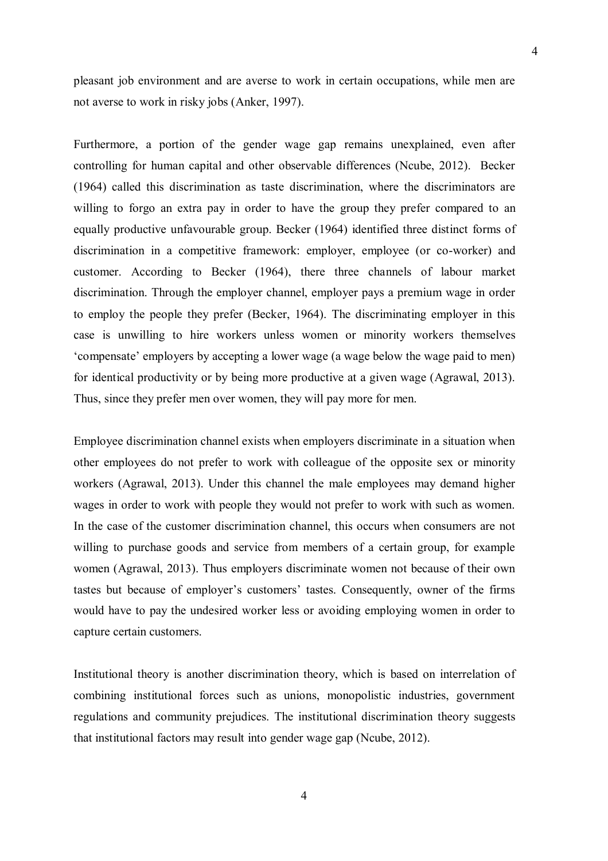pleasant job environment and are averse to work in certain occupations, while men are not averse to work in risky jobs (Anker, 1997).

4

Furthermore, a portion of the gender wage gap remains unexplained, even after controlling for human capital and other observable differences (Ncube, 2012). Becker (1964) called this discrimination as taste discrimination, where the discriminators are willing to forgo an extra pay in order to have the group they prefer compared to an equally productive unfavourable group. Becker (1964) identified three distinct forms of discrimination in a competitive framework: employer, employee (or co-worker) and customer. According to Becker (1964), there three channels of labour market discrimination. Through the employer channel, employer pays a premium wage in order to employ the people they prefer (Becker, 1964). The discriminating employer in this case is unwilling to hire workers unless women or minority workers themselves "compensate" employers by accepting a lower wage (a wage below the wage paid to men) for identical productivity or by being more productive at a given wage (Agrawal, 2013). Thus, since they prefer men over women, they will pay more for men.

Employee discrimination channel exists when employers discriminate in a situation when other employees do not prefer to work with colleague of the opposite sex or minority workers (Agrawal, 2013). Under this channel the male employees may demand higher wages in order to work with people they would not prefer to work with such as women. In the case of the customer discrimination channel, this occurs when consumers are not willing to purchase goods and service from members of a certain group, for example women (Agrawal, 2013). Thus employers discriminate women not because of their own tastes but because of employer's customers' tastes. Consequently, owner of the firms would have to pay the undesired worker less or avoiding employing women in order to capture certain customers.

Institutional theory is another discrimination theory, which is based on interrelation of combining institutional forces such as unions, monopolistic industries, government regulations and community prejudices. The institutional discrimination theory suggests that institutional factors may result into gender wage gap (Ncube, 2012).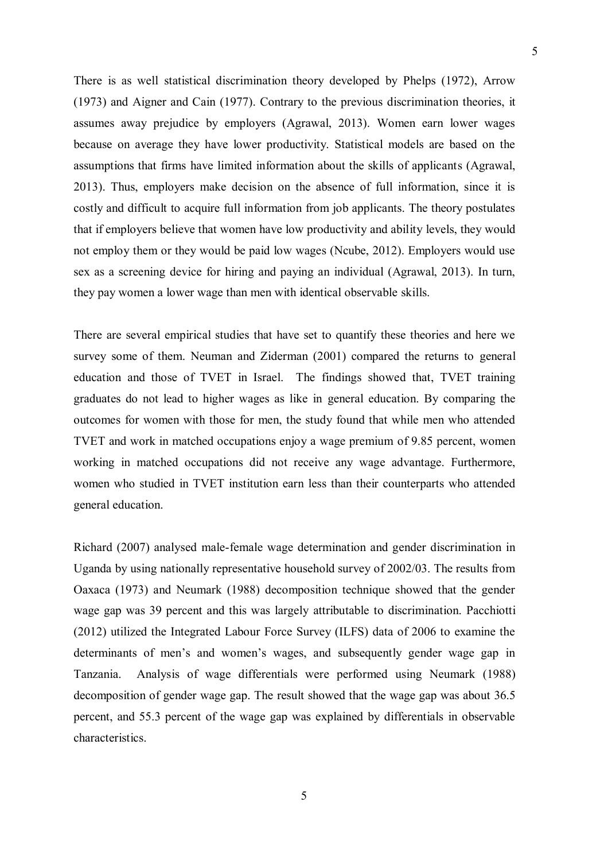There is as well statistical discrimination theory developed by Phelps (1972), Arrow (1973) and Aigner and Cain (1977). Contrary to the previous discrimination theories, it assumes away prejudice by employers (Agrawal, 2013). Women earn lower wages because on average they have lower productivity. Statistical models are based on the assumptions that firms have limited information about the skills of applicants (Agrawal, 2013). Thus, employers make decision on the absence of full information, since it is costly and difficult to acquire full information from job applicants. The theory postulates that if employers believe that women have low productivity and ability levels, they would

not employ them or they would be paid low wages (Ncube, 2012). Employers would use sex as a screening device for hiring and paying an individual (Agrawal, 2013). In turn, they pay women a lower wage than men with identical observable skills.

There are several empirical studies that have set to quantify these theories and here we survey some of them. Neuman and Ziderman (2001) compared the returns to general education and those of TVET in Israel. The findings showed that, TVET training graduates do not lead to higher wages as like in general education. By comparing the outcomes for women with those for men, the study found that while men who attended TVET and work in matched occupations enjoy a wage premium of 9.85 percent, women working in matched occupations did not receive any wage advantage. Furthermore, women who studied in TVET institution earn less than their counterparts who attended general education.

Richard (2007) analysed male-female wage determination and gender discrimination in Uganda by using nationally representative household survey of 2002/03. The results from Oaxaca (1973) and Neumark (1988) decomposition technique showed that the gender wage gap was 39 percent and this was largely attributable to discrimination. Pacchiotti (2012) utilized the Integrated Labour Force Survey (ILFS) data of 2006 to examine the determinants of men's and women's wages, and subsequently gender wage gap in Tanzania. Analysis of wage differentials were performed using Neumark (1988) decomposition of gender wage gap. The result showed that the wage gap was about 36.5 percent, and 55.3 percent of the wage gap was explained by differentials in observable characteristics.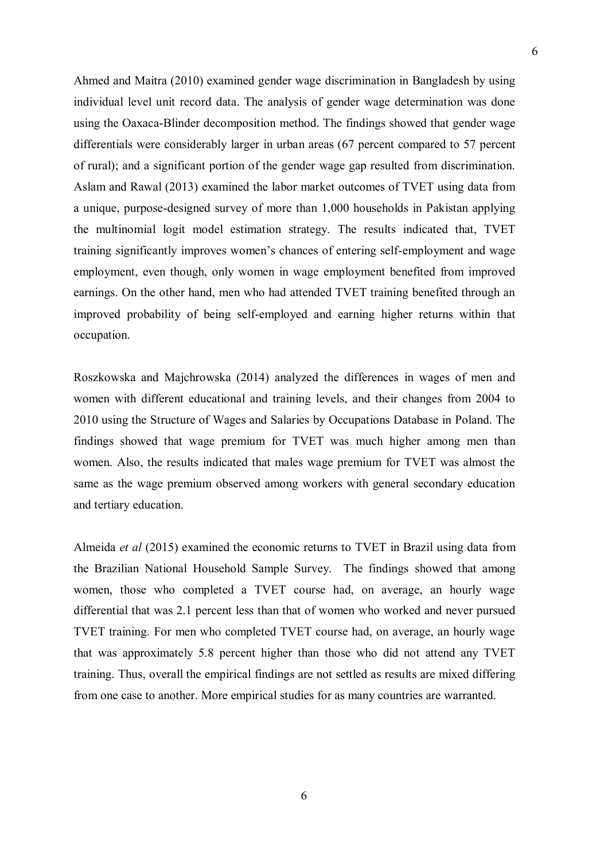Ahmed and Maitra (2010) examined gender wage discrimination in Bangladesh by using individual level unit record data. The analysis of gender wage determination was done using the Oaxaca-Blinder decomposition method. The findings showed that gender wage differentials were considerably larger in urban areas (67 percent compared to 57 percent of rural); and a significant portion of the gender wage gap resulted from discrimination. Aslam and Rawal (2013) examined the labor market outcomes of TVET using data from a unique, purpose-designed survey of more than 1,000 households in Pakistan applying the multinomial logit model estimation strategy. The results indicated that, TVET training significantly improves women"s chances of entering self-employment and wage employment, even though, only women in wage employment benefited from improved earnings. On the other hand, men who had attended TVET training benefited through an improved probability of being self-employed and earning higher returns within that occupation.

Roszkowska and Majchrowska (2014) analyzed the differences in wages of men and women with different educational and training levels, and their changes from 2004 to 2010 using the Structure of Wages and Salaries by Occupations Database in Poland. The findings showed that wage premium for TVET was much higher among men than women. Also, the results indicated that males wage premium for TVET was almost the same as the wage premium observed among workers with general secondary education and tertiary education.

Almeida *et al* (2015) examined the economic returns to TVET in Brazil using data from the Brazilian National Household Sample Survey. The findings showed that among women, those who completed a TVET course had, on average, an hourly wage differential that was 2.1 percent less than that of women who worked and never pursued TVET training. For men who completed TVET course had, on average, an hourly wage that was approximately 5.8 percent higher than those who did not attend any TVET training. Thus, overall the empirical findings are not settled as results are mixed differing from one case to another. More empirical studies for as many countries are warranted.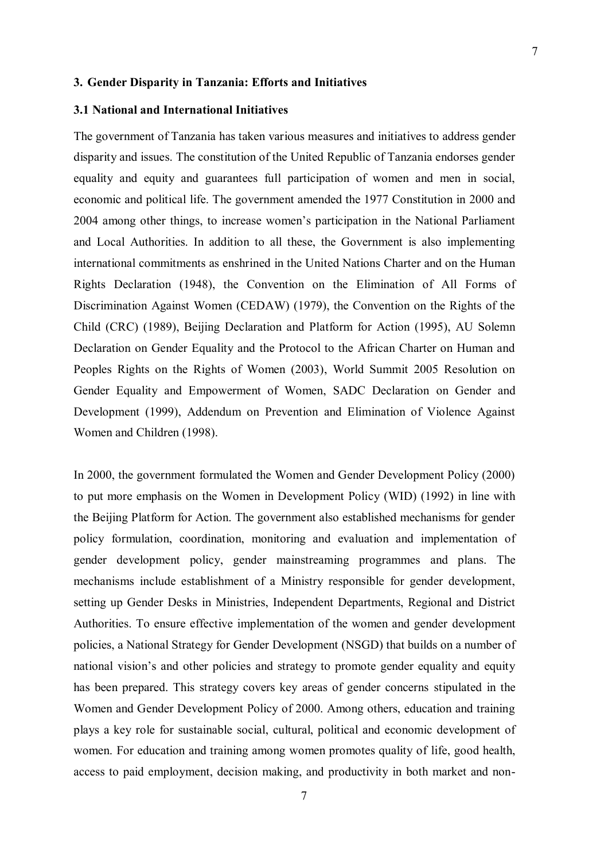#### **3. Gender Disparity in Tanzania: Efforts and Initiatives**

### **3.1 National and International Initiatives**

The government of Tanzania has taken various measures and initiatives to address gender disparity and issues. The constitution of the United Republic of Tanzania endorses gender equality and equity and guarantees full participation of women and men in social, economic and political life. The government amended the 1977 Constitution in 2000 and 2004 among other things, to increase women"s participation in the National Parliament and Local Authorities. In addition to all these, the Government is also implementing international commitments as enshrined in the United Nations Charter and on the Human Rights Declaration (1948), the Convention on the Elimination of All Forms of Discrimination Against Women (CEDAW) (1979), the Convention on the Rights of the Child (CRC) (1989), Beijing Declaration and Platform for Action (1995), AU Solemn Declaration on Gender Equality and the Protocol to the African Charter on Human and Peoples Rights on the Rights of Women (2003), World Summit 2005 Resolution on Gender Equality and Empowerment of Women, SADC Declaration on Gender and Development (1999), Addendum on Prevention and Elimination of Violence Against Women and Children (1998).

In 2000, the government formulated the Women and Gender Development Policy (2000) to put more emphasis on the Women in Development Policy (WID) (1992) in line with the Beijing Platform for Action. The government also established mechanisms for gender policy formulation, coordination, monitoring and evaluation and implementation of gender development policy, gender mainstreaming programmes and plans. The mechanisms include establishment of a Ministry responsible for gender development, setting up Gender Desks in Ministries, Independent Departments, Regional and District Authorities. To ensure effective implementation of the women and gender development policies, a National Strategy for Gender Development (NSGD) that builds on a number of national vision's and other policies and strategy to promote gender equality and equity has been prepared. This strategy covers key areas of gender concerns stipulated in the Women and Gender Development Policy of 2000. Among others, education and training plays a key role for sustainable social, cultural, political and economic development of women. For education and training among women promotes quality of life, good health, access to paid employment, decision making, and productivity in both market and non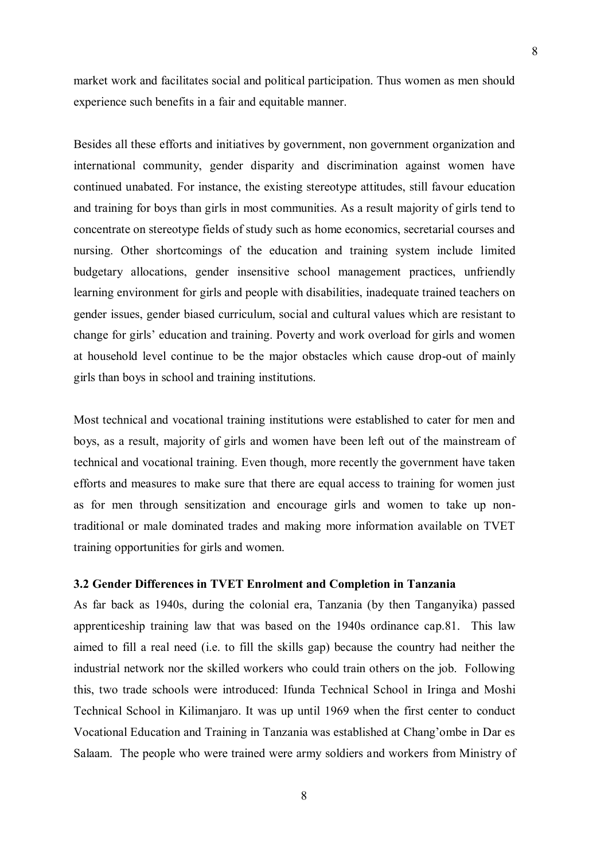market work and facilitates social and political participation. Thus women as men should experience such benefits in a fair and equitable manner.

Besides all these efforts and initiatives by government, non government organization and international community, gender disparity and discrimination against women have continued unabated. For instance, the existing stereotype attitudes, still favour education and training for boys than girls in most communities. As a result majority of girls tend to concentrate on stereotype fields of study such as home economics, secretarial courses and nursing. Other shortcomings of the education and training system include limited budgetary allocations, gender insensitive school management practices, unfriendly learning environment for girls and people with disabilities, inadequate trained teachers on gender issues, gender biased curriculum, social and cultural values which are resistant to change for girls" education and training. Poverty and work overload for girls and women at household level continue to be the major obstacles which cause drop-out of mainly girls than boys in school and training institutions.

Most technical and vocational training institutions were established to cater for men and boys, as a result, majority of girls and women have been left out of the mainstream of technical and vocational training. Even though, more recently the government have taken efforts and measures to make sure that there are equal access to training for women just as for men through sensitization and encourage girls and women to take up nontraditional or male dominated trades and making more information available on TVET training opportunities for girls and women.

#### **3.2 Gender Differences in TVET Enrolment and Completion in Tanzania**

As far back as 1940s, during the colonial era, Tanzania (by then Tanganyika) passed apprenticeship training law that was based on the 1940s ordinance cap.81. This law aimed to fill a real need (i.e. to fill the skills gap) because the country had neither the industrial network nor the skilled workers who could train others on the job. Following this, two trade schools were introduced: Ifunda Technical School in Iringa and Moshi Technical School in Kilimanjaro. It was up until 1969 when the first center to conduct Vocational Education and Training in Tanzania was established at Chang"ombe in Dar es Salaam. The people who were trained were army soldiers and workers from Ministry of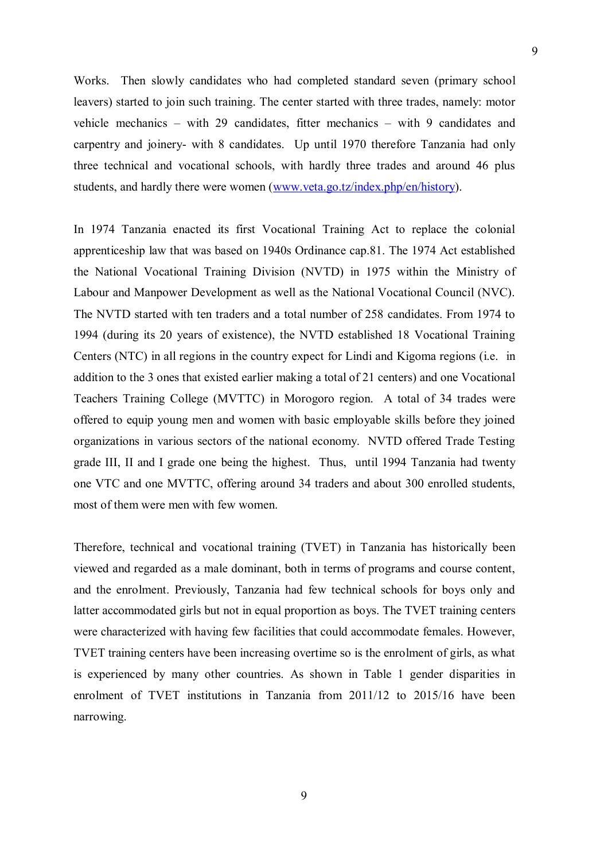Works. Then slowly candidates who had completed standard seven (primary school leavers) started to join such training. The center started with three trades, namely: motor vehicle mechanics – with 29 candidates, fitter mechanics – with 9 candidates and carpentry and joinery- with 8 candidates. Up until 1970 therefore Tanzania had only three technical and vocational schools, with hardly three trades and around 46 plus students, and hardly there were women [\(www.veta.go.tz/index.php/en/history\)](http://www.veta.go.tz/index.php/en/history).

In 1974 Tanzania enacted its first Vocational Training Act to replace the colonial apprenticeship law that was based on 1940s Ordinance cap.81. The 1974 Act established the National Vocational Training Division (NVTD) in 1975 within the Ministry of Labour and Manpower Development as well as the National Vocational Council (NVC). The NVTD started with ten traders and a total number of 258 candidates. From 1974 to 1994 (during its 20 years of existence), the NVTD established 18 Vocational Training Centers (NTC) in all regions in the country expect for Lindi and Kigoma regions (i.e. in addition to the 3 ones that existed earlier making a total of 21 centers) and one Vocational Teachers Training College (MVTTC) in Morogoro region. A total of 34 trades were offered to equip young men and women with basic employable skills before they joined organizations in various sectors of the national economy. NVTD offered Trade Testing grade III, II and I grade one being the highest. Thus, until 1994 Tanzania had twenty one VTC and one MVTTC, offering around 34 traders and about 300 enrolled students, most of them were men with few women.

Therefore, technical and vocational training (TVET) in Tanzania has historically been viewed and regarded as a male dominant, both in terms of programs and course content, and the enrolment. Previously, Tanzania had few technical schools for boys only and latter accommodated girls but not in equal proportion as boys. The TVET training centers were characterized with having few facilities that could accommodate females. However, TVET training centers have been increasing overtime so is the enrolment of girls, as what is experienced by many other countries. As shown in Table 1 gender disparities in enrolment of TVET institutions in Tanzania from 2011/12 to 2015/16 have been narrowing.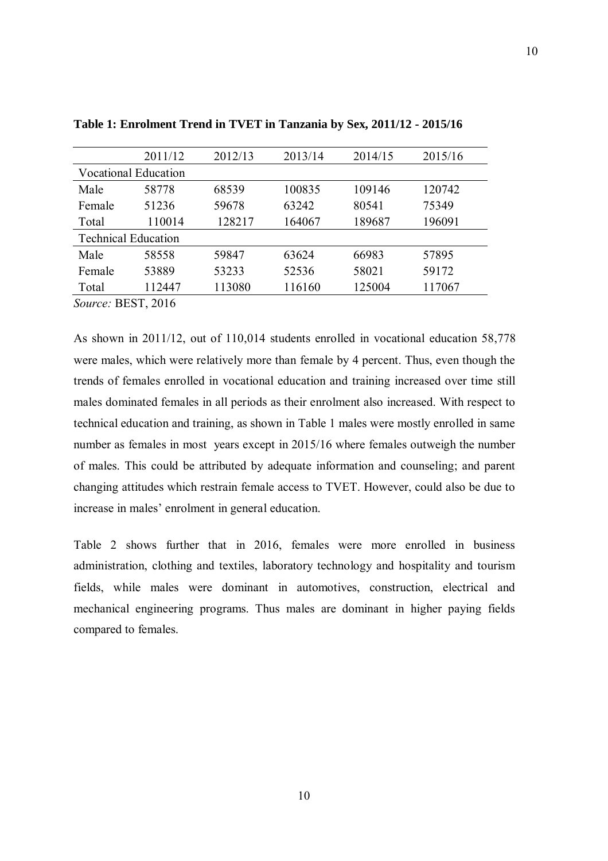|                            | 2011/12                     | 2012/13 | 2013/14 | 2014/15 | 2015/16 |
|----------------------------|-----------------------------|---------|---------|---------|---------|
|                            | <b>Vocational Education</b> |         |         |         |         |
| Male                       | 58778                       | 68539   | 100835  | 109146  | 120742  |
| Female                     | 51236                       | 59678   | 63242   | 80541   | 75349   |
| Total                      | 110014                      | 128217  | 164067  | 189687  | 196091  |
| <b>Technical Education</b> |                             |         |         |         |         |
| Male                       | 58558                       | 59847   | 63624   | 66983   | 57895   |
| Female                     | 53889                       | 53233   | 52536   | 58021   | 59172   |
| Total                      | 112447                      | 113080  | 116160  | 125004  | 117067  |
|                            |                             |         |         |         |         |

**Table 1: Enrolment Trend in TVET in Tanzania by Sex, 2011/12 - 2015/16**

*Source:* BEST, 2016

As shown in 2011/12, out of 110,014 students enrolled in vocational education 58,778 were males, which were relatively more than female by 4 percent. Thus, even though the trends of females enrolled in vocational education and training increased over time still males dominated females in all periods as their enrolment also increased. With respect to technical education and training, as shown in Table 1 males were mostly enrolled in same number as females in most years except in 2015/16 where females outweigh the number of males. This could be attributed by adequate information and counseling; and parent changing attitudes which restrain female access to TVET. However, could also be due to increase in males' enrolment in general education.

Table 2 shows further that in 2016, females were more enrolled in business administration, clothing and textiles, laboratory technology and hospitality and tourism fields, while males were dominant in automotives, construction, electrical and mechanical engineering programs. Thus males are dominant in higher paying fields compared to females.

10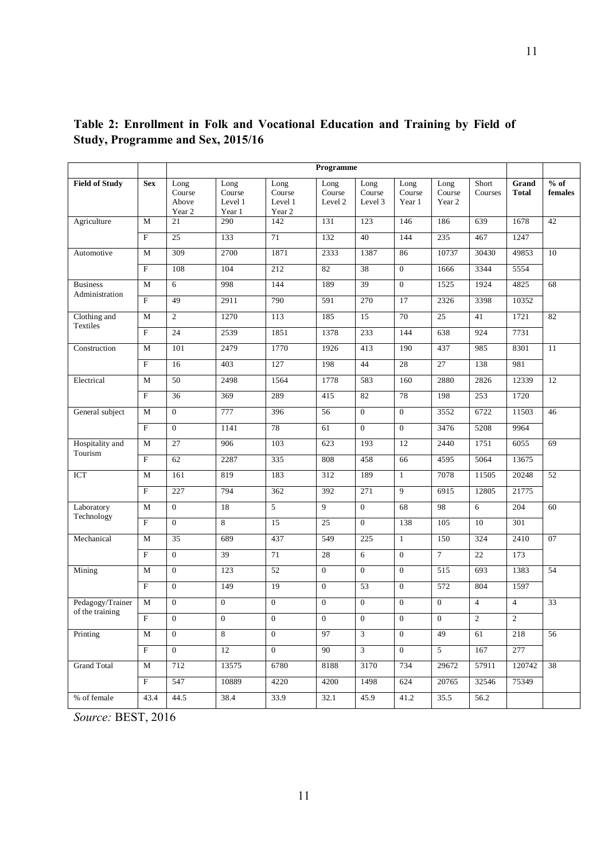|                       |                           | Programme                         |                                     |                                     |                           |                           |                          |                          |                  |                       |                   |
|-----------------------|---------------------------|-----------------------------------|-------------------------------------|-------------------------------------|---------------------------|---------------------------|--------------------------|--------------------------|------------------|-----------------------|-------------------|
| <b>Field of Study</b> | <b>Sex</b>                | Long<br>Course<br>Above<br>Year 2 | Long<br>Course<br>Level 1<br>Year 1 | Long<br>Course<br>Level 1<br>Year 2 | Long<br>Course<br>Level 2 | Long<br>Course<br>Level 3 | Long<br>Course<br>Year 1 | Long<br>Course<br>Year 2 | Short<br>Courses | Grand<br><b>Total</b> | $%$ of<br>females |
| Agriculture           | М                         | 21                                | 290                                 | 142                                 | 131                       | 123                       | 146                      | 186                      | 639              | 1678                  | 42                |
|                       | $\overline{F}$            | 25                                | 133                                 | 71                                  | 132                       | 40                        | 144                      | 235                      | 467              | 1247                  |                   |
| Automotive            | M                         | 309                               | 2700                                | 1871                                | 2333                      | 1387                      | 86                       | 10737                    | 30430            | 49853                 | $\overline{10}$   |
|                       | $_{\rm F}$                | 108                               | 104                                 | 212                                 | 82                        | 38                        | $\overline{0}$           | 1666                     | 3344             | 5554                  |                   |
| <b>Business</b>       | М                         | 6                                 | 998                                 | 144                                 | 189                       | 39                        | $\overline{0}$           | 1525                     | 1924             | 4825                  | 68                |
| Administration        | F                         | 49                                | 2911                                | 790                                 | 591                       | 270                       | 17                       | 2326                     | 3398             | 10352                 |                   |
| Clothing and          | М                         | $\overline{2}$                    | 1270                                | 113                                 | 185                       | 15                        | 70                       | 25                       | 41               | 1721                  | 82                |
| Textiles              | F                         | $\overline{24}$                   | 2539                                | 1851                                | 1378                      | 233                       | 144                      | 638                      | 924              | 7731                  |                   |
| Construction          | М                         | 101                               | 2479                                | 1770                                | 1926                      | 413                       | 190                      | 437                      | 985              | 8301                  | 11                |
|                       | $\overline{F}$            | 16                                | 403                                 | 127                                 | 198                       | 44                        | $28\,$                   | $\overline{27}$          | 138              | 981                   |                   |
| Electrical            | M                         | 50                                | 2498                                | 1564                                | 1778                      | 583                       | 160                      | 2880                     | 2826             | 12339<br>12           |                   |
|                       | F                         | 36                                | 369                                 | 289                                 | 415                       | 82                        | 78                       | 198                      | 253              | 1720                  |                   |
| General subject       | М                         | $\overline{0}$                    | 777                                 | 396                                 | 56                        | $\mathbf{0}$              | $\overline{0}$           | 3552                     | 6722             | 11503                 | 46                |
|                       | F                         | $\overline{0}$                    | 1141                                | 78                                  | 61                        | $\overline{0}$            | $\overline{0}$           | 3476                     | 5208             | 9964                  |                   |
| Hospitality and       | M                         | $\overline{27}$                   | 906                                 | 103                                 | 623                       | 193                       | 12                       | 2440                     | 1751             | 6055                  | 69                |
| Tourism               | $\overline{F}$            | 62                                | 2287                                | 335                                 | 808                       | 458                       | 66                       | 4595                     | 5064             | 13675                 |                   |
| <b>ICT</b>            | М                         | 161                               | 819                                 | 183                                 | 312                       | 189                       | $\mathbf{1}$             | 7078                     | 11505            | 20248                 | $\overline{52}$   |
|                       | F                         | 227                               | 794                                 | 362                                 | 392                       | 271                       | 9                        | 6915                     | 12805            | 21775                 |                   |
| Laboratory            | М                         | $\overline{0}$                    | 18                                  | 5                                   | 9                         | $\overline{0}$            | 68                       | 98                       | 6                | 204                   | 60                |
| Technology            | F                         | $\overline{0}$                    | $\overline{8}$                      | 15                                  | 25                        | $\overline{0}$            | 138                      | 105                      | 10               | 301                   |                   |
| Mechanical            | M                         | 35                                | 689                                 | 437                                 | 549                       | 225                       | $\mathbf{1}$             | 150                      | 324              | 2410                  | 07                |
|                       | $\overline{F}$            | $\overline{0}$                    | 39                                  | 71                                  | 28                        | 6                         | $\overline{0}$           | $\overline{7}$           | 22               | 173                   |                   |
| Mining                | М                         | $\overline{0}$                    | 123                                 | 52                                  | $\mathbf{0}$              | $\overline{0}$            | $\overline{0}$           | 515                      | 693              | 1383                  | 54                |
|                       | F                         | $\overline{0}$                    | 149                                 | 19                                  | $\mathbf{0}$              | 53                        | $\overline{0}$           | 572                      | 804              | 1597                  |                   |
| Pedagogy/Trainer      | $\overline{M}$            | $\boldsymbol{0}$                  | $\overline{0}$                      | $\boldsymbol{0}$                    | $\mathbf{0}$              | $\mathbf{0}$              | $\overline{0}$           | $\boldsymbol{0}$         | $\overline{4}$   | $\overline{4}$        | $\overline{33}$   |
| of the training       | $\mathbf{F}$              | $\mathbf{0}$                      | $\overline{0}$                      | $\mathbf{0}$                        | $\theta$                  | $\theta$                  | $\overline{0}$           | $\mathbf{0}$             | $\mathbf{2}$     | $\overline{2}$        |                   |
| Printing              | М                         | $\overline{0}$                    | 8                                   | $\mathbf{0}$                        | 97                        | 3                         | $\overline{0}$           | 49                       | 61               | 218                   | 56                |
|                       | $\overline{\mathrm{F}}$   | $\overline{0}$                    | 12                                  | $\overline{0}$                      | 90                        | $\mathfrak{Z}$            | $\overline{0}$           | $5\phantom{.0}$          | 167              | 277                   |                   |
| Grand Total           | М                         | 712                               | 13575                               | 6780                                | 8188                      | 3170                      | 734                      | 29672                    | 57911            | 120742                | 38                |
|                       | $\boldsymbol{\mathrm{F}}$ | 547                               | 10889                               | 4220                                | 4200                      | 1498                      | 624                      | 20765                    | 32546            | 75349                 |                   |
| % of female           | 43.4                      | 44.5                              | 38.4                                | 33.9                                | 32.1                      | 45.9                      | 41.2                     | 35.5                     | 56.2             |                       |                   |
|                       |                           |                                   |                                     |                                     |                           |                           |                          |                          |                  |                       |                   |

**Table 2: Enrollment in Folk and Vocational Education and Training by Field of Study, Programme and Sex, 2015/16**

*Source:* BEST, 2016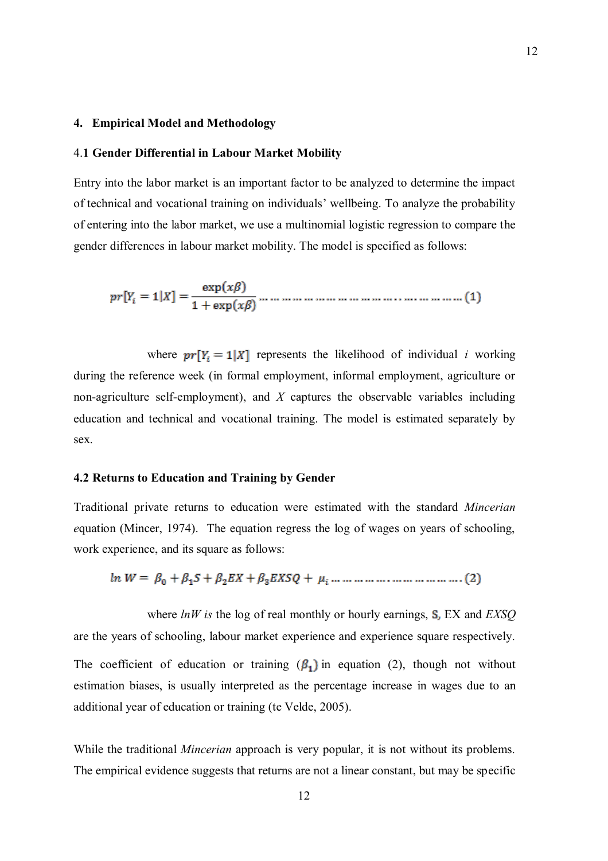#### **4. Empirical Model and Methodology**

#### 4.**1 Gender Differential in Labour Market Mobility**

Entry into the labor market is an important factor to be analyzed to determine the impact of technical and vocational training on individuals" wellbeing. To analyze the probability of entering into the labor market, we use a multinomial logistic regression to compare the gender differences in labour market mobility. The model is specified as follows:

where  $pr[Y_i = 1|X]$  represents the likelihood of individual *i* working during the reference week (in formal employment, informal employment, agriculture or non-agriculture self-employment), and *X* captures the observable variables including education and technical and vocational training. The model is estimated separately by sex.

#### **4.2 Returns to Education and Training by Gender**

Traditional private returns to education were estimated with the standard *Mincerian e*quation (Mincer, 1974). The equation regress the log of wages on years of schooling, work experience, and its square as follows:

where *lnW is* the log of real monthly or hourly earnings, EX and *EXSQ* are the years of schooling, labour market experience and experience square respectively. The coefficient of education or training  $(\beta_1)$  in equation (2), though not without estimation biases, is usually interpreted as the percentage increase in wages due to an additional year of education or training (te Velde, 2005).

While the traditional *Mincerian* approach is very popular, it is not without its problems. The empirical evidence suggests that returns are not a linear constant, but may be specific 12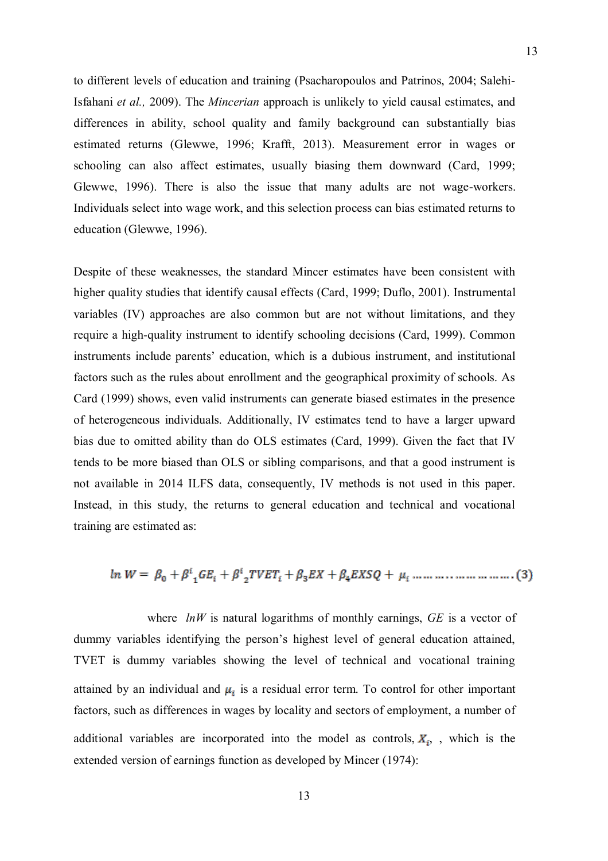to different levels of education and training (Psacharopoulos and Patrinos, 2004; Salehi-Isfahani *et al.,* 2009). The *Mincerian* approach is unlikely to yield causal estimates, and differences in ability, school quality and family background can substantially bias estimated returns (Glewwe, 1996; Krafft, 2013). Measurement error in wages or schooling can also affect estimates, usually biasing them downward (Card, 1999; Glewwe, 1996). There is also the issue that many adults are not wage-workers. Individuals select into wage work, and this selection process can bias estimated returns to education (Glewwe, 1996).

Despite of these weaknesses, the standard Mincer estimates have been consistent with higher quality studies that identify causal effects (Card, 1999; Duflo, 2001). Instrumental variables (IV) approaches are also common but are not without limitations, and they require a high-quality instrument to identify schooling decisions (Card, 1999). Common instruments include parents' education, which is a dubious instrument, and institutional factors such as the rules about enrollment and the geographical proximity of schools. As Card (1999) shows, even valid instruments can generate biased estimates in the presence of heterogeneous individuals. Additionally, IV estimates tend to have a larger upward bias due to omitted ability than do OLS estimates (Card, 1999). Given the fact that IV tends to be more biased than OLS or sibling comparisons, and that a good instrument is not available in 2014 ILFS data, consequently, IV methods is not used in this paper. Instead, in this study, the returns to general education and technical and vocational training are estimated as:

where *lnW* is natural logarithms of monthly earnings, *GE* is a vector of dummy variables identifying the person"s highest level of general education attained, TVET is dummy variables showing the level of technical and vocational training attained by an individual and  $\mu_i$  is a residual error term. To control for other important factors, such as differences in wages by locality and sectors of employment, a number of additional variables are incorporated into the model as controls,  $X_i$ , , which is the extended version of earnings function as developed by Mincer (1974):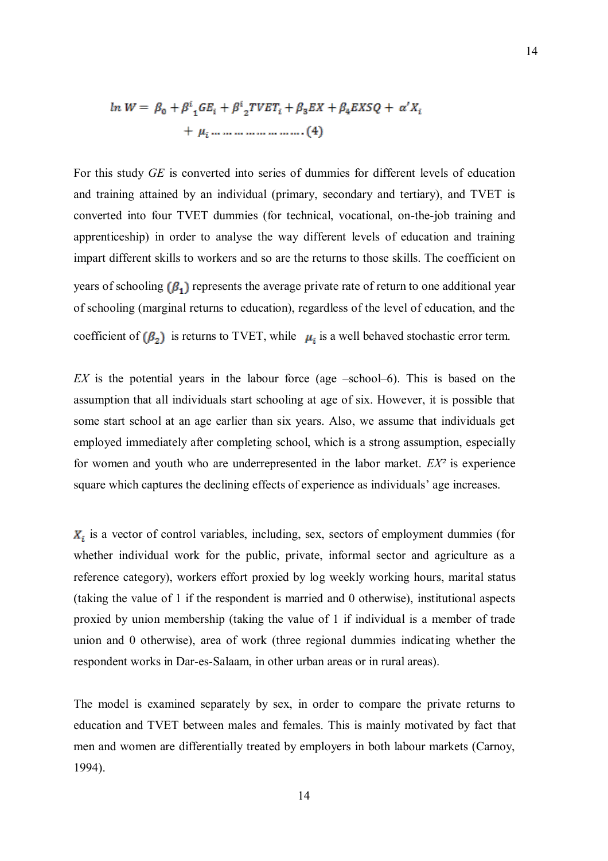For this study *GE* is converted into series of dummies for different levels of education and training attained by an individual (primary, secondary and tertiary), and TVET is converted into four TVET dummies (for technical, vocational, on-the-job training and apprenticeship) in order to analyse the way different levels of education and training impart different skills to workers and so are the returns to those skills. The coefficient on years of schooling  $(\beta_1)$  represents the average private rate of return to one additional year of schooling (marginal returns to education), regardless of the level of education, and the coefficient of  $(\beta_2)$  is returns to TVET, while  $\mu_i$  is a well behaved stochastic error term.

*EX* is the potential years in the labour force (age –school–6). This is based on the assumption that all individuals start schooling at age of six. However, it is possible that some start school at an age earlier than six years. Also, we assume that individuals get employed immediately after completing school, which is a strong assumption, especially for women and youth who are underrepresented in the labor market. *EX²* is experience square which captures the declining effects of experience as individuals" age increases.

 $X_i$  is a vector of control variables, including, sex, sectors of employment dummies (for whether individual work for the public, private, informal sector and agriculture as a reference category), workers effort proxied by log weekly working hours, marital status (taking the value of 1 if the respondent is married and 0 otherwise), institutional aspects proxied by union membership (taking the value of 1 if individual is a member of trade union and 0 otherwise), area of work (three regional dummies indicating whether the respondent works in Dar-es-Salaam, in other urban areas or in rural areas).

The model is examined separately by sex, in order to compare the private returns to education and TVET between males and females. This is mainly motivated by fact that men and women are differentially treated by employers in both labour markets (Carnoy, 1994).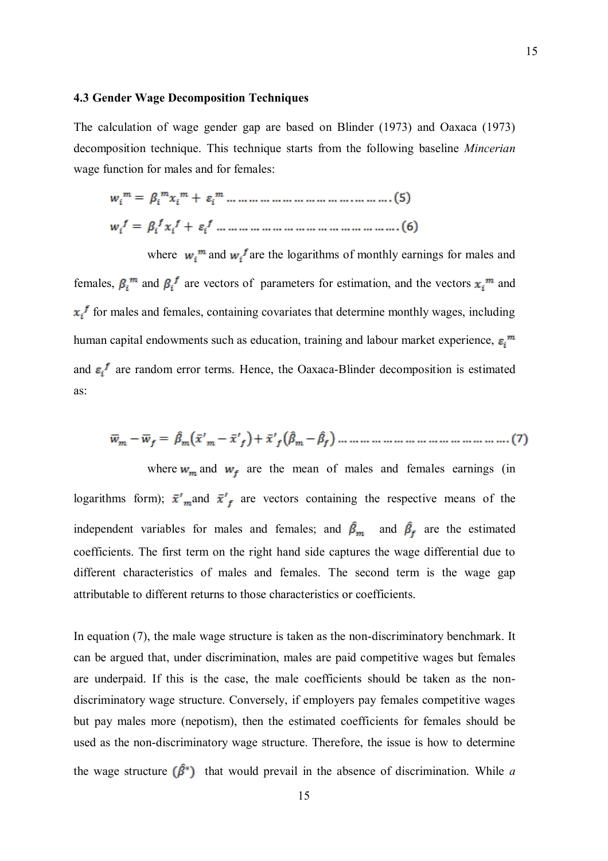#### **4.3 Gender Wage Decomposition Techniques**

The calculation of wage gender gap are based on Blinder (1973) and Oaxaca (1973) decomposition technique. This technique starts from the following baseline *Mincerian*  wage function for males and for females:

where  $w_i^m$  and  $w_i^f$  are the logarithms of monthly earnings for males and females,  $\beta_i^m$  and  $\beta_i^f$  are vectors of parameters for estimation, and the vectors  $x_i^m$  and  $x_i^f$  for males and females, containing covariates that determine monthly wages, including human capital endowments such as education, training and labour market experience,  $\varepsilon_i^m$ and  $\varepsilon_i^f$  are random error terms. Hence, the Oaxaca-Blinder decomposition is estimated as:

where  $w_m$  and  $w_f$  are the mean of males and females earnings (in logarithms form);  $\bar{x}'$  and  $\bar{x}'_f$  are vectors containing the respective means of the independent variables for males and females; and  $\hat{\beta}_m$  and  $\hat{\beta}_f$  are the estimated coefficients. The first term on the right hand side captures the wage differential due to different characteristics of males and females. The second term is the wage gap attributable to different returns to those characteristics or coefficients.

In equation (7), the male wage structure is taken as the non-discriminatory benchmark. It can be argued that, under discrimination, males are paid competitive wages but females are underpaid. If this is the case, the male coefficients should be taken as the nondiscriminatory wage structure. Conversely, if employers pay females competitive wages but pay males more (nepotism), then the estimated coefficients for females should be used as the non-discriminatory wage structure. Therefore, the issue is how to determine the wage structure  $(\hat{\beta}^*)$  that would prevail in the absence of discrimination. While *a*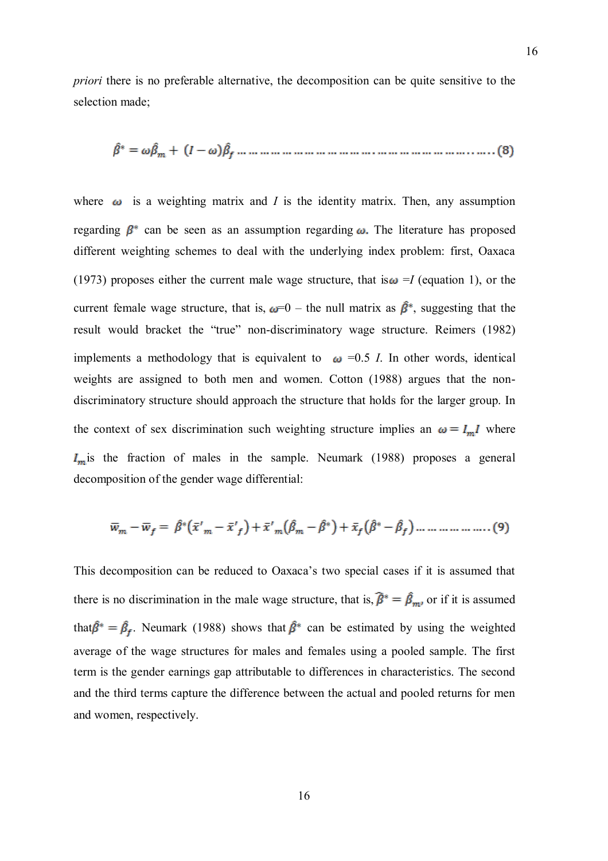*priori* there is no preferable alternative, the decomposition can be quite sensitive to the selection made;

where  $\omega$  is a weighting matrix and *I* is the identity matrix. Then, any assumption regarding  $\beta^*$  can be seen as an assumption regarding  $\omega$ . The literature has proposed different weighting schemes to deal with the underlying index problem: first, Oaxaca (1973) proposes either the current male wage structure, that is  $\omega = I$  (equation 1), or the current female wage structure, that is,  $\omega=0$  – the null matrix as  $\hat{\beta}^*$ , suggesting that the result would bracket the "true" non-discriminatory wage structure. Reimers (1982) implements a methodology that is equivalent to  $\omega$  =0.5 *I*. In other words, identical weights are assigned to both men and women. Cotton (1988) argues that the nondiscriminatory structure should approach the structure that holds for the larger group. In the context of sex discrimination such weighting structure implies an  $\omega = I_m I$  where  $I_m$  is the fraction of males in the sample. Neumark (1988) proposes a general decomposition of the gender wage differential:

$$
\overline{w}_m - \overline{w}_f = \hat{\beta}^* (\overline{x}'_m - \overline{x}'_f) + \overline{x}'_m (\hat{\beta}_m - \hat{\beta}^*) + \overline{x}_f (\hat{\beta}^* - \hat{\beta}_f) \dots \dots \dots \dots \dots \dots (9)
$$

This decomposition can be reduced to Oaxaca"s two special cases if it is assumed that there is no discrimination in the male wage structure, that is,  $\hat{\beta}^* = \hat{\beta}_{m}$ , or if it is assumed that  $\hat{\beta}^* = \hat{\beta}_f$ . Neumark (1988) shows that  $\hat{\beta}^*$  can be estimated by using the weighted average of the wage structures for males and females using a pooled sample. The first term is the gender earnings gap attributable to differences in characteristics. The second and the third terms capture the difference between the actual and pooled returns for men and women, respectively.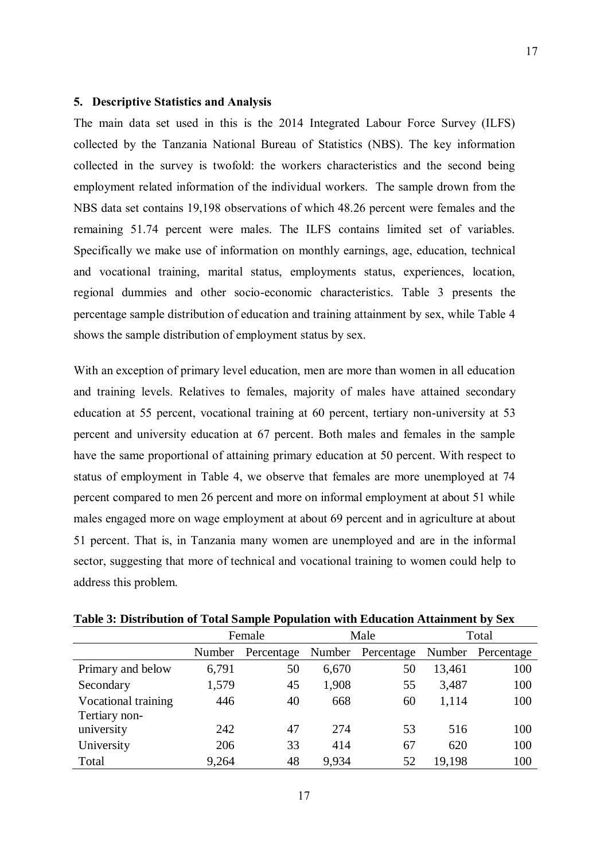#### **5. Descriptive Statistics and Analysis**

The main data set used in this is the 2014 Integrated Labour Force Survey (ILFS) collected by the Tanzania National Bureau of Statistics (NBS). The key information collected in the survey is twofold: the workers characteristics and the second being employment related information of the individual workers. The sample drown from the NBS data set contains 19,198 observations of which 48.26 percent were females and the remaining 51.74 percent were males. The ILFS contains limited set of variables. Specifically we make use of information on monthly earnings, age, education, technical and vocational training, marital status, employments status, experiences, location, regional dummies and other socio-economic characteristics. Table 3 presents the percentage sample distribution of education and training attainment by sex, while Table 4 shows the sample distribution of employment status by sex.

With an exception of primary level education, men are more than women in all education and training levels. Relatives to females, majority of males have attained secondary education at 55 percent, vocational training at 60 percent, tertiary non-university at 53 percent and university education at 67 percent. Both males and females in the sample have the same proportional of attaining primary education at 50 percent. With respect to status of employment in Table 4, we observe that females are more unemployed at 74 percent compared to men 26 percent and more on informal employment at about 51 while males engaged more on wage employment at about 69 percent and in agriculture at about 51 percent. That is, in Tanzania many women are unemployed and are in the informal sector, suggesting that more of technical and vocational training to women could help to address this problem.

|                     | Female |            |       | Male              | Total  |                   |
|---------------------|--------|------------|-------|-------------------|--------|-------------------|
|                     | Number | Percentage |       | Number Percentage |        | Number Percentage |
| Primary and below   | 6,791  | 50         | 6,670 | 50                | 13,461 | 100               |
| Secondary           | 1,579  | 45         | 1,908 | 55                | 3,487  | 100               |
| Vocational training | 446    | 40         | 668   | 60                | 1,114  | 100               |
| Tertiary non-       |        |            |       |                   |        |                   |
| university          | 242    | 47         | 274   | 53                | 516    | 100               |
| University          | 206    | 33         | 414   | 67                | 620    | 100               |
| Total               | 9,264  | 48         | 9,934 | 52                | 19,198 | 100               |

**Table 3: Distribution of Total Sample Population with Education Attainment by Sex**

17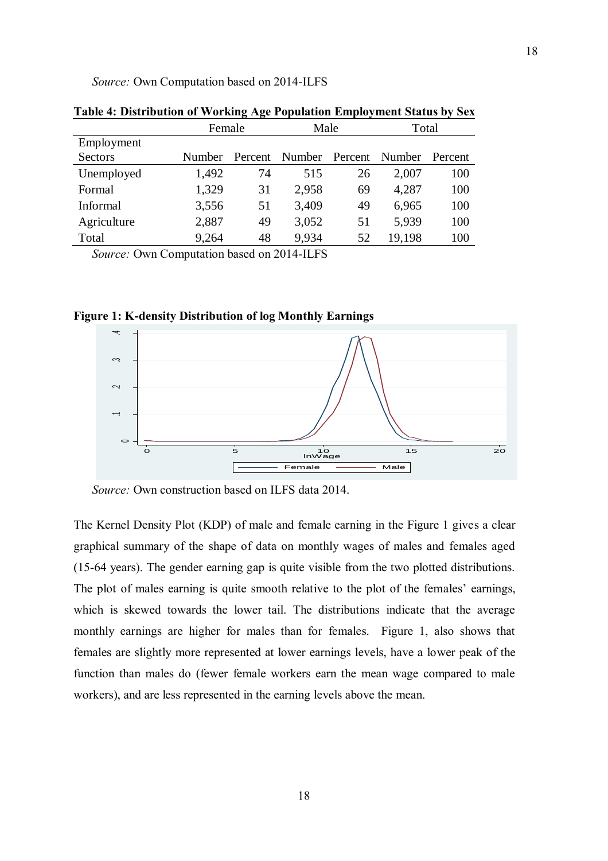*Source:* Own Computation based on 2014-ILFS

|             | Female        |         | Male   |         | Total  |         |
|-------------|---------------|---------|--------|---------|--------|---------|
| Employment  |               |         |        |         |        |         |
| Sectors     | <b>Number</b> | Percent | Number | Percent | Number | Percent |
| Unemployed  | 1,492         | 74      | 515    | 26      | 2,007  | 100     |
| Formal      | 1,329         | 31      | 2,958  | 69      | 4,287  | 100     |
| Informal    | 3,556         | 51      | 3,409  | 49      | 6,965  | 100     |
| Agriculture | 2,887         | 49      | 3,052  | 51      | 5,939  | 100     |
| Total       | 9,264         | 48      | 9,934  | 52      | 19,198 | 100     |

**Table 4: Distribution of Working Age Population Employment Status by Sex**

*Source:* Own Computation based on 2014-ILFS

**Figure 1: K-density Distribution of log Monthly Earnings**



*Source:* Own construction based on ILFS data 2014.

The Kernel Density Plot (KDP) of male and female earning in the Figure 1 gives a clear graphical summary of the shape of data on monthly wages of males and females aged (15-64 years). The gender earning gap is quite visible from the two plotted distributions. The plot of males earning is quite smooth relative to the plot of the females' earnings, which is skewed towards the lower tail. The distributions indicate that the average monthly earnings are higher for males than for females. Figure 1, also shows that females are slightly more represented at lower earnings levels, have a lower peak of the function than males do (fewer female workers earn the mean wage compared to male workers), and are less represented in the earning levels above the mean.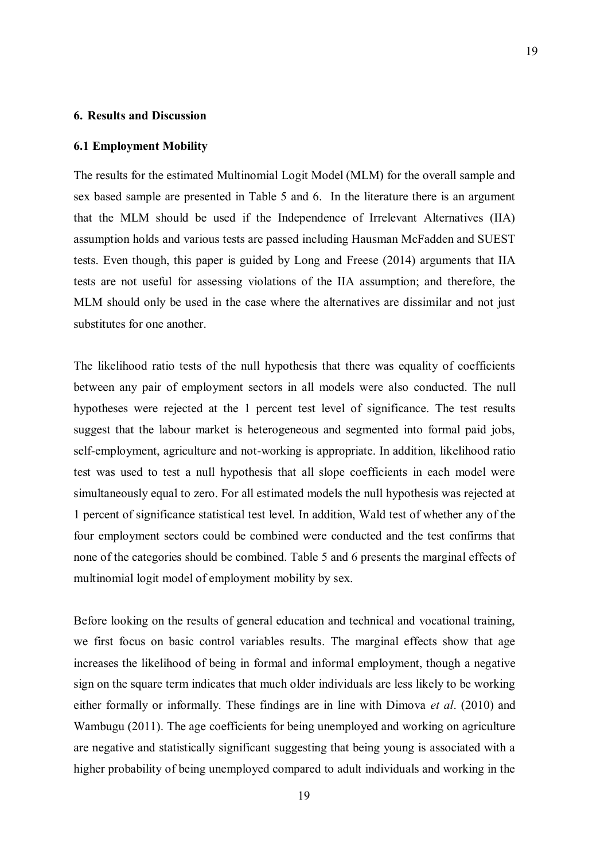#### **6. Results and Discussion**

#### **6.1 Employment Mobility**

The results for the estimated Multinomial Logit Model (MLM) for the overall sample and sex based sample are presented in Table 5 and 6. In the literature there is an argument that the MLM should be used if the Independence of Irrelevant Alternatives (IIA) assumption holds and various tests are passed including Hausman McFadden and SUEST tests. Even though, this paper is guided by Long and Freese (2014) arguments that IIA tests are not useful for assessing violations of the IIA assumption; and therefore, the MLM should only be used in the case where the alternatives are dissimilar and not just substitutes for one another.

The likelihood ratio tests of the null hypothesis that there was equality of coefficients between any pair of employment sectors in all models were also conducted. The null hypotheses were rejected at the 1 percent test level of significance. The test results suggest that the labour market is heterogeneous and segmented into formal paid jobs, self-employment, agriculture and not-working is appropriate. In addition, likelihood ratio test was used to test a null hypothesis that all slope coefficients in each model were simultaneously equal to zero. For all estimated models the null hypothesis was rejected at 1 percent of significance statistical test level. In addition, Wald test of whether any of the four employment sectors could be combined were conducted and the test confirms that none of the categories should be combined. Table 5 and 6 presents the marginal effects of multinomial logit model of employment mobility by sex.

Before looking on the results of general education and technical and vocational training, we first focus on basic control variables results. The marginal effects show that age increases the likelihood of being in formal and informal employment, though a negative sign on the square term indicates that much older individuals are less likely to be working either formally or informally. These findings are in line with Dimova *et al*. (2010) and Wambugu (2011). The age coefficients for being unemployed and working on agriculture are negative and statistically significant suggesting that being young is associated with a higher probability of being unemployed compared to adult individuals and working in the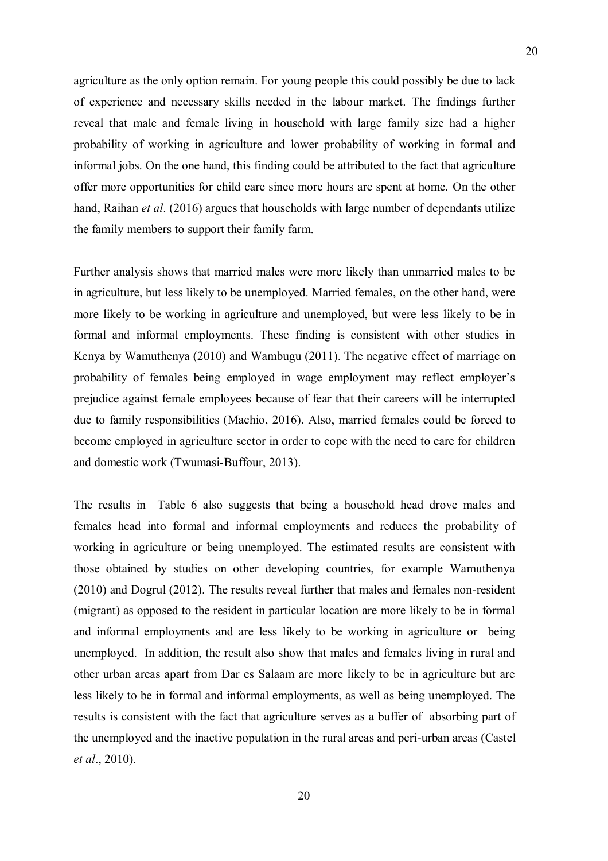agriculture as the only option remain. For young people this could possibly be due to lack of experience and necessary skills needed in the labour market. The findings further reveal that male and female living in household with large family size had a higher probability of working in agriculture and lower probability of working in formal and informal jobs. On the one hand, this finding could be attributed to the fact that agriculture offer more opportunities for child care since more hours are spent at home. On the other hand, Raihan *et al*. (2016) argues that households with large number of dependants utilize the family members to support their family farm.

Further analysis shows that married males were more likely than unmarried males to be in agriculture, but less likely to be unemployed. Married females, on the other hand, were more likely to be working in agriculture and unemployed, but were less likely to be in formal and informal employments. These finding is consistent with other studies in Kenya by Wamuthenya (2010) and Wambugu (2011). The negative effect of marriage on probability of females being employed in wage employment may reflect employer's prejudice against female employees because of fear that their careers will be interrupted due to family responsibilities (Machio, 2016). Also, married females could be forced to become employed in agriculture sector in order to cope with the need to care for children and domestic work (Twumasi-Buffour, 2013).

The results in Table 6 also suggests that being a household head drove males and females head into formal and informal employments and reduces the probability of working in agriculture or being unemployed. The estimated results are consistent with those obtained by studies on other developing countries, for example Wamuthenya (2010) and Dogrul (2012). The results reveal further that males and females non-resident (migrant) as opposed to the resident in particular location are more likely to be in formal and informal employments and are less likely to be working in agriculture or being unemployed. In addition, the result also show that males and females living in rural and other urban areas apart from Dar es Salaam are more likely to be in agriculture but are less likely to be in formal and informal employments, as well as being unemployed. The results is consistent with the fact that agriculture serves as a buffer of absorbing part of the unemployed and the inactive population in the rural areas and peri-urban areas (Castel *et al*., 2010).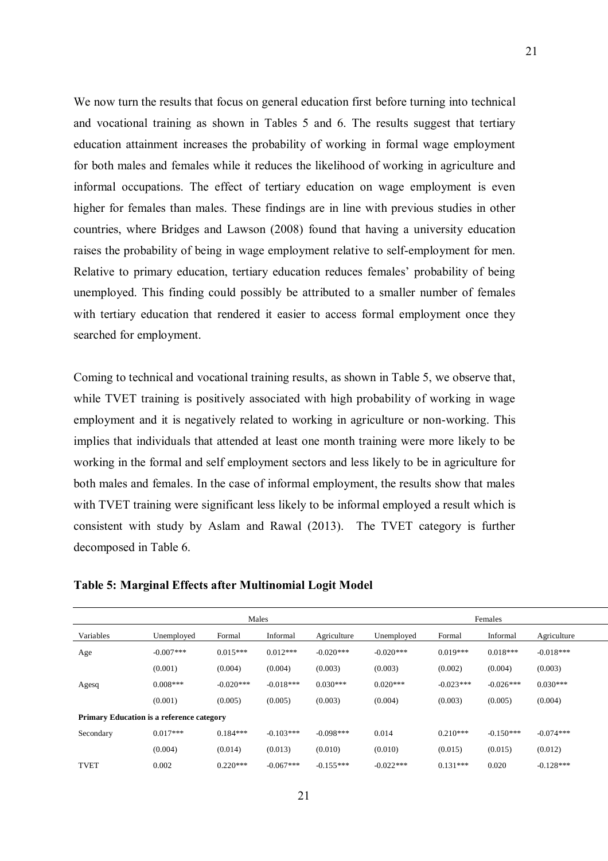We now turn the results that focus on general education first before turning into technical and vocational training as shown in Tables 5 and 6. The results suggest that tertiary education attainment increases the probability of working in formal wage employment for both males and females while it reduces the likelihood of working in agriculture and informal occupations. The effect of tertiary education on wage employment is even higher for females than males. These findings are in line with previous studies in other countries, where Bridges and Lawson (2008) found that having a university education raises the probability of being in wage employment relative to self-employment for men. Relative to primary education, tertiary education reduces females' probability of being unemployed. This finding could possibly be attributed to a smaller number of females with tertiary education that rendered it easier to access formal employment once they searched for employment.

Coming to technical and vocational training results, as shown in Table 5, we observe that, while TVET training is positively associated with high probability of working in wage employment and it is negatively related to working in agriculture or non-working. This implies that individuals that attended at least one month training were more likely to be working in the formal and self employment sectors and less likely to be in agriculture for both males and females. In the case of informal employment, the results show that males with TVET training were significant less likely to be informal employed a result which is consistent with study by Aslam and Rawal (2013). The TVET category is further decomposed in Table 6.

|                                                  |             | Males       |             | Females     |             |             |             |             |
|--------------------------------------------------|-------------|-------------|-------------|-------------|-------------|-------------|-------------|-------------|
| Variables                                        | Unemployed  | Formal      | Informal    | Agriculture | Unemployed  | Formal      | Informal    | Agriculture |
| Age                                              | $-0.007***$ | $0.015***$  | $0.012***$  | $-0.020***$ | $-0.020***$ | $0.019***$  | $0.018***$  | $-0.018***$ |
|                                                  | (0.001)     | (0.004)     | (0.004)     | (0.003)     | (0.003)     | (0.002)     | (0.004)     | (0.003)     |
| Agesq                                            | $0.008***$  | $-0.020***$ | $-0.018***$ | $0.030***$  | $0.020***$  | $-0.023***$ | $-0.026***$ | $0.030***$  |
|                                                  | (0.001)     | (0.005)     | (0.005)     | (0.003)     | (0.004)     | (0.003)     | (0.005)     | (0.004)     |
| <b>Primary Education is a reference category</b> |             |             |             |             |             |             |             |             |
| Secondary                                        | $0.017***$  | $0.184***$  | $-0.103***$ | $-0.098***$ | 0.014       | $0.210***$  | $-0.150***$ | $-0.074***$ |
|                                                  | (0.004)     | (0.014)     | (0.013)     | (0.010)     | (0.010)     | (0.015)     | (0.015)     | (0.012)     |
| <b>TVET</b>                                      | 0.002       | $0.220***$  | $-0.067***$ | $-0.155***$ | $-0.022***$ | $0.131***$  | 0.020       | $-0.128***$ |

#### **Table 5: Marginal Effects after Multinomial Logit Model**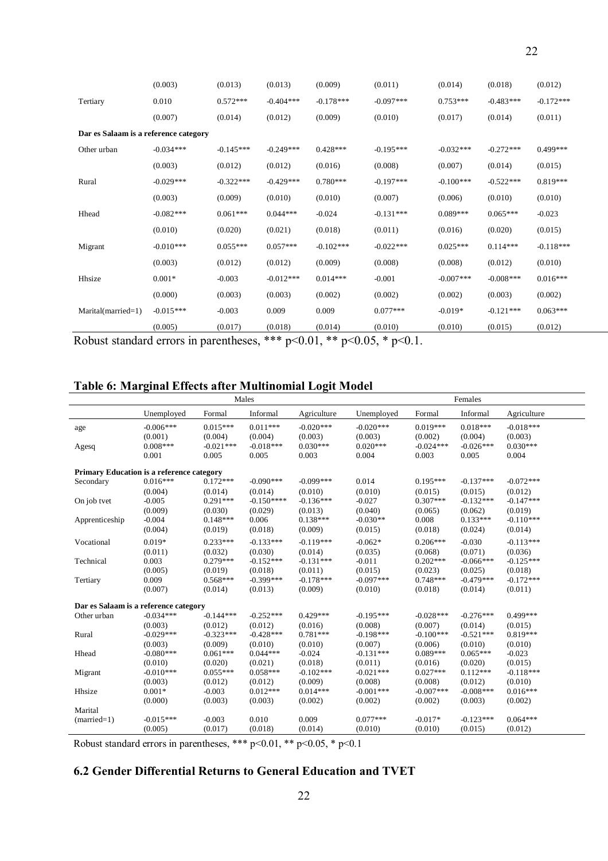|                                                                                 | (0.003)     | (0.013)     | (0.013)     | (0.009)     | (0.011)     | (0.014)      | (0.018)     | (0.012)     |
|---------------------------------------------------------------------------------|-------------|-------------|-------------|-------------|-------------|--------------|-------------|-------------|
| Tertiary                                                                        | 0.010       | $0.572***$  | $-0.404***$ | $-0.178***$ | $-0.097***$ | $0.753***$   | $-0.483***$ | $-0.172***$ |
|                                                                                 | (0.007)     | (0.014)     | (0.012)     | (0.009)     | (0.010)     | (0.017)      | (0.014)     | (0.011)     |
| Dar es Salaam is a reference category                                           |             |             |             |             |             |              |             |             |
| Other urban                                                                     | $-0.034***$ | $-0.145***$ | $-0.249***$ | $0.428***$  | $-0.195***$ | $-0.032***$  | $-0.272***$ | $0.499***$  |
|                                                                                 | (0.003)     | (0.012)     | (0.012)     | (0.016)     | (0.008)     | (0.007)      | (0.014)     | (0.015)     |
| Rural                                                                           | $-0.029***$ | $-0.322***$ | $-0.429***$ | $0.780***$  | $-0.197***$ | $-0.100***$  | $-0.522***$ | $0.819***$  |
|                                                                                 | (0.003)     | (0.009)     | (0.010)     | (0.010)     | (0.007)     | (0.006)      | (0.010)     | (0.010)     |
| Hhead                                                                           | $-0.082***$ | $0.061***$  | $0.044***$  | $-0.024$    | $-0.131***$ | $0.089***$   | $0.065***$  | $-0.023$    |
|                                                                                 | (0.010)     | (0.020)     | (0.021)     | (0.018)     | (0.011)     | (0.016)      | (0.020)     | (0.015)     |
| Migrant                                                                         | $-0.010***$ | $0.055***$  | $0.057***$  | $-0.102***$ | $-0.022***$ | $0.025***$   | $0.114***$  | $-0.118***$ |
|                                                                                 | (0.003)     | (0.012)     | (0.012)     | (0.009)     | (0.008)     | (0.008)      | (0.012)     | (0.010)     |
| Hhsize                                                                          | $0.001*$    | $-0.003$    | $-0.012***$ | $0.014***$  | $-0.001$    | $-0.007$ *** | $-0.008***$ | $0.016***$  |
|                                                                                 | (0.000)     | (0.003)     | (0.003)     | (0.002)     | (0.002)     | (0.002)      | (0.003)     | (0.002)     |
| Marital(married=1)                                                              | $-0.015***$ | $-0.003$    | 0.009       | 0.009       | $0.077***$  | $-0.019*$    | $-0.121***$ | $0.063***$  |
|                                                                                 | (0.005)     | (0.017)     | (0.018)     | (0.014)     | (0.010)     | (0.010)      | (0.015)     | (0.012)     |
| Robust standard errors in parentheses, *** $p<0.01$ , ** $p<0.05$ , * $p<0.1$ . |             |             |             |             |             |              |             |             |

# **Table 6: Marginal Effects after Multinomial Logit Model**

|                                                  |                                | Males                            |                                   |                                   | Females                        |                                  |                                   |                                   |
|--------------------------------------------------|--------------------------------|----------------------------------|-----------------------------------|-----------------------------------|--------------------------------|----------------------------------|-----------------------------------|-----------------------------------|
|                                                  | Unemployed                     | Formal                           | Informal                          | Agriculture                       | Unemployed                     | Formal                           | Informal                          | Agriculture                       |
| age                                              | $-0.006***$<br>(0.001)         | $0.015***$<br>(0.004)            | $0.011***$<br>(0.004)             | $-0.020***$<br>(0.003)            | $-0.020***$<br>(0.003)         | $0.019***$<br>(0.002)            | $0.018***$<br>(0.004)             | $-0.018***$<br>(0.003)            |
| Agesq                                            | $0.008***$<br>0.001            | $-0.021***$<br>0.005             | $-0.018***$<br>0.005              | $0.030***$<br>0.003               | $0.020***$<br>0.004            | $-0.024***$<br>0.003             | $-0.026***$<br>0.005              | $0.030***$<br>0.004               |
| <b>Primary Education is a reference category</b> |                                |                                  |                                   |                                   |                                |                                  |                                   |                                   |
| Secondary                                        | $0.016***$                     | $0.172***$                       | $-0.090***$                       | $-0.099***$                       | 0.014                          | $0.195***$                       | $-0.137***$                       | $-0.072***$                       |
| On job tvet                                      | (0.004)<br>$-0.005$<br>(0.009) | (0.014)<br>$0.291***$<br>(0.030) | (0.014)<br>$-0.150***$<br>(0.029) | (0.010)<br>$-0.136***$<br>(0.013) | (0.010)<br>$-0.027$<br>(0.040) | (0.015)<br>$0.307***$<br>(0.065) | (0.015)<br>$-0.132***$<br>(0.062) | (0.012)<br>$-0.147***$<br>(0.019) |
| Apprenticeship                                   | $-0.004$<br>(0.004)            | $0.148***$<br>(0.019)            | 0.006<br>(0.018)                  | $0.138***$<br>(0.009)             | $-0.030**$<br>(0.015)          | 0.008<br>(0.018)                 | $0.133***$<br>(0.024)             | $-0.110***$<br>(0.014)            |
| Vocational                                       | $0.019*$<br>(0.011)            | $0.233***$<br>(0.032)            | $-0.133***$<br>(0.030)            | $-0.119***$<br>(0.014)            | $-0.062*$<br>(0.035)           | $0.206***$<br>(0.068)            | $-0.030$<br>(0.071)               | $-0.113***$<br>(0.036)            |
| Technical                                        | 0.003                          | $0.279***$                       | $-0.152***$                       | $-0.131***$                       | $-0.011$                       | $0.202***$                       | $-0.066***$                       | $-0.125***$                       |
|                                                  | (0.005)                        | (0.019)                          | (0.018)                           | (0.011)                           | (0.015)                        | (0.023)                          | (0.025)                           | (0.018)                           |
| Tertiary                                         | 0.009<br>(0.007)               | $0.568***$                       | $-0.399***$<br>(0.013)            | $-0.178***$<br>(0.009)            | $-0.097***$<br>(0.010)         | $0.748***$<br>(0.018)            | $-0.479***$<br>(0.014)            | $-0.172***$                       |
|                                                  |                                | (0.014)                          |                                   |                                   |                                |                                  |                                   | (0.011)                           |
| Dar es Salaam is a reference category            |                                |                                  |                                   |                                   |                                |                                  |                                   |                                   |
| Other urban                                      | $-0.034***$                    | $-0.144***$                      | $-0.252***$                       | $0.429***$                        | $-0.195***$                    | $-0.028***$                      | $-0.276***$                       | 0.499***                          |
| Rural                                            | (0.003)<br>$-0.029***$         | (0.012)<br>$-0.323***$           | (0.012)<br>$-0.428***$            | (0.016)<br>$0.781***$             | (0.008)<br>$-0.198***$         | (0.007)<br>$-0.100***$           | (0.014)<br>$-0.521***$            | (0.015)<br>$0.819***$             |
|                                                  | (0.003)                        | (0.009)                          | (0.010)                           | (0.010)                           | (0.007)                        | (0.006)                          | (0.010)                           | (0.010)                           |
| Hhead                                            | $-0.080***$                    | $0.061***$                       | $0.044***$                        | $-0.024$                          | $-0.131***$                    | $0.089***$                       | $0.065***$                        | $-0.023$                          |
| Migrant                                          | (0.010)<br>$-0.010***$         | (0.020)<br>$0.055***$            | (0.021)<br>$0.058***$             | (0.018)<br>$-0.102***$            | (0.011)<br>$-0.021***$         | (0.016)<br>$0.027***$            | (0.020)<br>$0.112***$             | (0.015)<br>$-0.118***$            |
|                                                  | (0.003)                        | (0.012)                          | (0.012)                           | (0.009)                           | (0.008)                        | (0.008)                          | (0.012)                           | (0.010)                           |
| Hhsize                                           | $0.001*$                       | $-0.003$                         | $0.012***$                        | $0.014***$                        | $-0.001***$                    | $-0.007***$                      | $-0.008***$                       | $0.016***$                        |
|                                                  | (0.000)                        | (0.003)                          | (0.003)                           | (0.002)                           | (0.002)                        | (0.002)                          | (0.003)                           | (0.002)                           |
| Marital                                          |                                |                                  |                                   |                                   |                                |                                  |                                   |                                   |
| $(married=1)$                                    | $-0.015***$<br>(0.005)         | $-0.003$<br>(0.017)              | 0.010<br>(0.018)                  | 0.009<br>(0.014)                  | $0.077***$<br>(0.010)          | $-0.017*$<br>(0.010)             | $-0.123***$<br>(0.015)            | $0.064***$<br>(0.012)             |
|                                                  |                                |                                  |                                   |                                   |                                |                                  |                                   |                                   |

Robust standard errors in parentheses, \*\*\* p<0.01, \*\* p<0.05, \* p<0.1

### **6.2 Gender Differential Returns to General Education and TVET**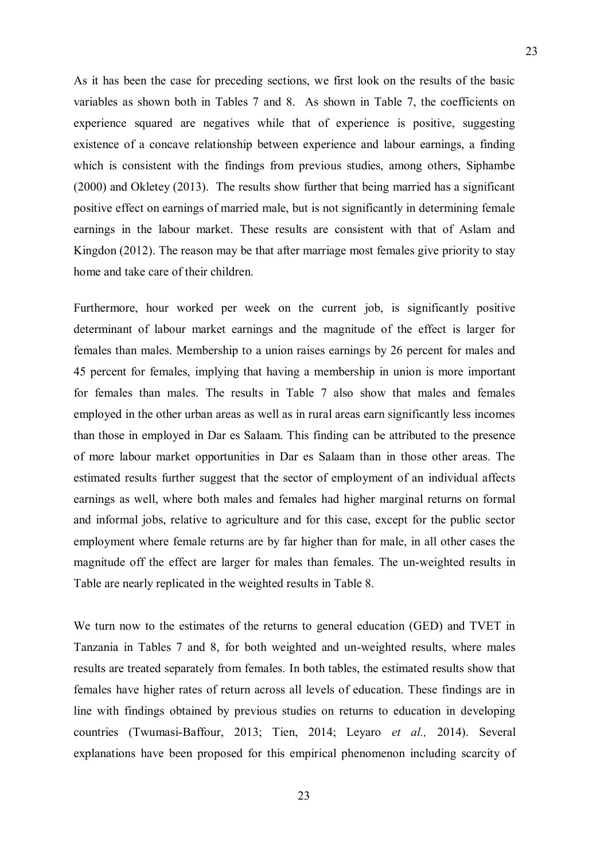As it has been the case for preceding sections, we first look on the results of the basic variables as shown both in Tables 7 and 8. As shown in Table 7, the coefficients on experience squared are negatives while that of experience is positive, suggesting existence of a concave relationship between experience and labour earnings, a finding which is consistent with the findings from previous studies, among others, Siphambe (2000) and Okletey (2013). The results show further that being married has a significant positive effect on earnings of married male, but is not significantly in determining female earnings in the labour market. These results are consistent with that of Aslam and Kingdon (2012). The reason may be that after marriage most females give priority to stay home and take care of their children.

Furthermore, hour worked per week on the current job, is significantly positive determinant of labour market earnings and the magnitude of the effect is larger for females than males. Membership to a union raises earnings by 26 percent for males and 45 percent for females, implying that having a membership in union is more important for females than males. The results in Table 7 also show that males and females employed in the other urban areas as well as in rural areas earn significantly less incomes than those in employed in Dar es Salaam. This finding can be attributed to the presence of more labour market opportunities in Dar es Salaam than in those other areas. The estimated results further suggest that the sector of employment of an individual affects earnings as well, where both males and females had higher marginal returns on formal and informal jobs, relative to agriculture and for this case, except for the public sector employment where female returns are by far higher than for male, in all other cases the magnitude off the effect are larger for males than females. The un-weighted results in Table are nearly replicated in the weighted results in Table 8.

We turn now to the estimates of the returns to general education (GED) and TVET in Tanzania in Tables 7 and 8, for both weighted and un-weighted results, where males results are treated separately from females. In both tables, the estimated results show that females have higher rates of return across all levels of education. These findings are in line with findings obtained by previous studies on returns to education in developing countries (Twumasi-Baffour, 2013; Tien, 2014; Leyaro *et al.,* 2014). Several explanations have been proposed for this empirical phenomenon including scarcity of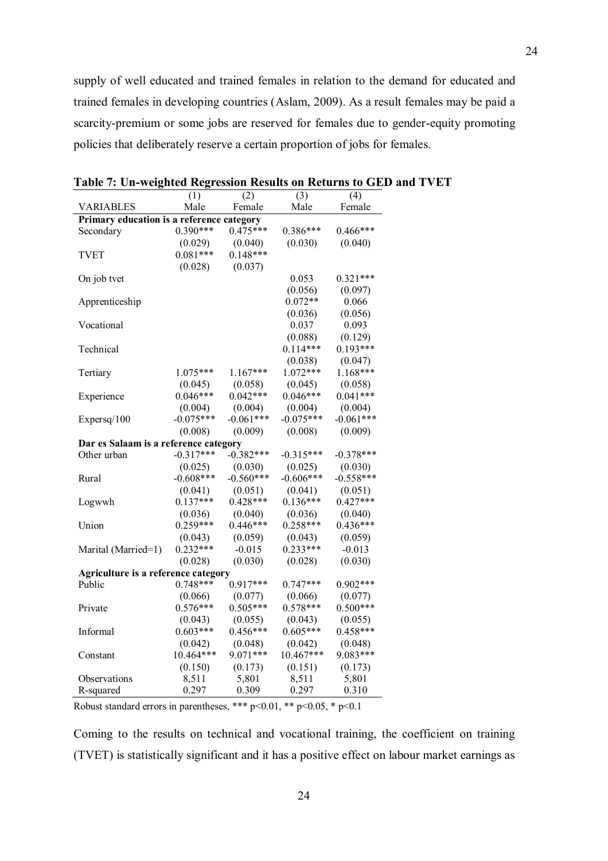supply of well educated and trained females in relation to the demand for educated and trained females in developing countries (Aslam, 2009). As a result females may be paid a scarcity-premium or some jobs are reserved for females due to gender-equity promoting policies that deliberately reserve a certain proportion of jobs for females.

|                                           | (1)         | (2)         | (3)         | (4)         |
|-------------------------------------------|-------------|-------------|-------------|-------------|
| <b>VARIABLES</b>                          | Male        | Female      | Male        | Female      |
| Primary education is a reference category |             |             |             |             |
| Secondary                                 | $0.390***$  | $0.475***$  | $0.386***$  | $0.466***$  |
|                                           | (0.029)     | (0.040)     | (0.030)     | (0.040)     |
| <b>TVET</b>                               | $0.081***$  | $0.148***$  |             |             |
|                                           | (0.028)     | (0.037)     |             |             |
| On job tvet                               |             |             | 0.053       | $0.321***$  |
|                                           |             |             | (0.056)     | (0.097)     |
| Apprenticeship                            |             |             | $0.072**$   | 0.066       |
|                                           |             |             | (0.036)     | (0.056)     |
| Vocational                                |             |             | 0.037       | 0.093       |
|                                           |             |             | (0.088)     | (0.129)     |
| Technical                                 |             |             | $0.114***$  | $0.193***$  |
|                                           |             |             | (0.038)     | (0.047)     |
| Tertiary                                  | $1.075***$  | 1.167***    | 1.072***    | $1.168***$  |
|                                           | (0.045)     | (0.058)     | (0.045)     | (0.058)     |
| Experience                                | $0.046***$  | $0.042***$  | $0.046***$  | $0.041***$  |
|                                           | (0.004)     | (0.004)     | (0.004)     | (0.004)     |
| Expersq/100                               | $-0.075***$ | $-0.061***$ | $-0.075***$ | $-0.061***$ |
|                                           | (0.008)     | (0.009)     | (0.008)     | (0.009)     |
| Dar es Salaam is a reference category     |             |             |             |             |
| Other urban                               | $-0.317***$ | $-0.382***$ | $-0.315***$ | $-0.378***$ |
|                                           | (0.025)     | (0.030)     | (0.025)     | (0.030)     |
| Rural                                     | $-0.608***$ | $-0.560***$ | $-0.606***$ | $-0.558***$ |
|                                           | (0.041)     | (0.051)     | (0.041)     | (0.051)     |
|                                           | $0.137***$  | $0.428***$  | $0.136***$  | $0.427***$  |
| Logwwh                                    | (0.036)     | (0.040)     | (0.036)     | (0.040)     |
|                                           | $0.259***$  | $0.446***$  | $0.258***$  | $0.436***$  |
| Union                                     |             |             |             |             |
|                                           | (0.043)     | (0.059)     | (0.043)     | (0.059)     |
| Marital (Married=1)                       | $0.232***$  | $-0.015$    | $0.233***$  | $-0.013$    |
|                                           | (0.028)     | (0.030)     | (0.028)     | (0.030)     |
| Agriculture is a reference category       |             |             |             |             |
| Public                                    | $0.748***$  | $0.917***$  | $0.747***$  | $0.902***$  |
|                                           | (0.066)     | (0.077)     | (0.066)     | (0.077)     |
| Private                                   | $0.576***$  | $0.505***$  | $0.578***$  | $0.500***$  |
|                                           | (0.043)     | (0.055)     | (0.043)     | (0.055)     |
| Informal                                  | $0.603***$  | $0.456***$  | $0.605***$  | $0.458***$  |
|                                           | (0.042)     | (0.048)     | (0.042)     | (0.048)     |
| Constant                                  | 10.464***   | 9.071***    | 10.467***   | 9.083***    |
|                                           | (0.150)     | (0.173)     | (0.151)     | (0.173)     |
| Observations                              | 8,511       | 5,801       | 8,511       | 5,801       |
| R-squared                                 | 0.297       | 0.309       | 0.297       | 0.310       |

**Table 7: Un-weighted Regression Results on Returns to GED and TVET**

Robust standard errors in parentheses, \*\*\* p<0.01, \*\* p<0.05, \* p<0.1

Coming to the results on technical and vocational training, the coefficient on training (TVET) is statistically significant and it has a positive effect on labour market earnings as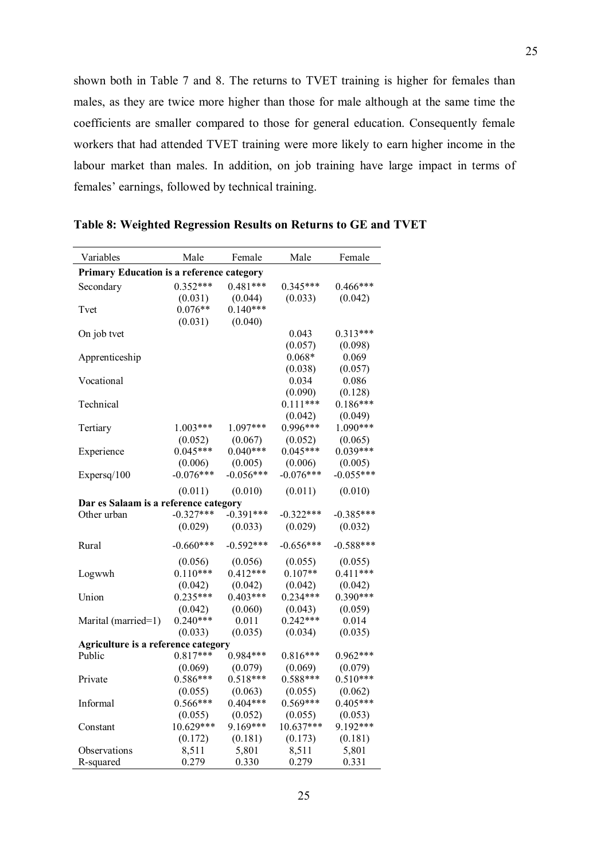shown both in Table 7 and 8. The returns to TVET training is higher for females than males, as they are twice more higher than those for male although at the same time the coefficients are smaller compared to those for general education. Consequently female workers that had attended TVET training were more likely to earn higher income in the labour market than males. In addition, on job training have large impact in terms of females' earnings, followed by technical training.

| Variables                                        | Male        | Female      | Male        | Female      |
|--------------------------------------------------|-------------|-------------|-------------|-------------|
| <b>Primary Education is a reference category</b> |             |             |             |             |
| Secondary                                        | $0.352***$  | $0.481***$  | $0.345***$  | $0.466***$  |
|                                                  | (0.031)     | (0.044)     | (0.033)     | (0.042)     |
| Tvet                                             | $0.076**$   | $0.140***$  |             |             |
|                                                  | (0.031)     | (0.040)     |             |             |
| On job tvet                                      |             |             | 0.043       | $0.313***$  |
|                                                  |             |             | (0.057)     | (0.098)     |
| Apprenticeship                                   |             |             | $0.068*$    | 0.069       |
|                                                  |             |             | (0.038)     | (0.057)     |
| Vocational                                       |             |             | 0.034       | 0.086       |
|                                                  |             |             | (0.090)     | (0.128)     |
| Technical                                        |             |             | $0.111***$  | $0.186***$  |
|                                                  |             |             | (0.042)     | (0.049)     |
| Tertiary                                         | $1.003***$  | 1.097***    | $0.996***$  | $1.090***$  |
|                                                  | (0.052)     | (0.067)     | (0.052)     | (0.065)     |
| Experience                                       | $0.045***$  | $0.040***$  | $0.045***$  | $0.039***$  |
|                                                  | (0.006)     | (0.005)     | (0.006)     | (0.005)     |
| Expersq/100                                      | $-0.076***$ | $-0.056***$ | $-0.076***$ | $-0.055***$ |
|                                                  | (0.011)     | (0.010)     | (0.011)     | (0.010)     |
| Dar es Salaam is a reference category            |             |             |             |             |
| Other urban                                      | $-0.327***$ | $-0.391***$ | $-0.322***$ | $-0.385***$ |
|                                                  | (0.029)     | (0.033)     | (0.029)     | (0.032)     |
|                                                  |             |             |             |             |
| Rural                                            | $-0.660***$ | $-0.592***$ | $-0.656***$ | $-0.588***$ |
|                                                  | (0.056)     | (0.056)     | (0.055)     | (0.055)     |
| Logwwh                                           | $0.110***$  | $0.412***$  | $0.107**$   | $0.411***$  |
|                                                  | (0.042)     | (0.042)     | (0.042)     | (0.042)     |
| Union                                            | $0.235***$  | $0.403***$  | $0.234***$  | $0.390***$  |
|                                                  | (0.042)     | (0.060)     | (0.043)     | (0.059)     |
| Marital (married=1)                              | $0.240***$  | 0.011       | $0.242***$  | 0.014       |
|                                                  | (0.033)     | (0.035)     | (0.034)     | (0.035)     |
| Agriculture is a reference category              |             |             |             |             |
| Public                                           | $0.817***$  | $0.984***$  | $0.816***$  | $0.962***$  |
|                                                  | (0.069)     | (0.079)     | (0.069)     | (0.079)     |
| Private                                          | $0.586***$  | $0.518***$  | $0.588***$  | $0.510***$  |
|                                                  | (0.055)     | (0.063)     | (0.055)     | (0.062)     |
| Informal                                         | $0.566***$  | $0.404***$  | $0.569***$  | $0.405***$  |
|                                                  | (0.055)     | (0.052)     | (0.055)     | (0.053)     |
| Constant                                         | 10.629***   | 9.169***    | 10.637***   | 9.192***    |
|                                                  | (0.172)     | (0.181)     | (0.173)     | (0.181)     |
| Observations                                     | 8,511       | 5,801       | 8,511       | 5,801       |
| R-squared                                        | 0.279       | 0.330       | 0.279       | 0.331       |

**Table 8: Weighted Regression Results on Returns to GE and TVET**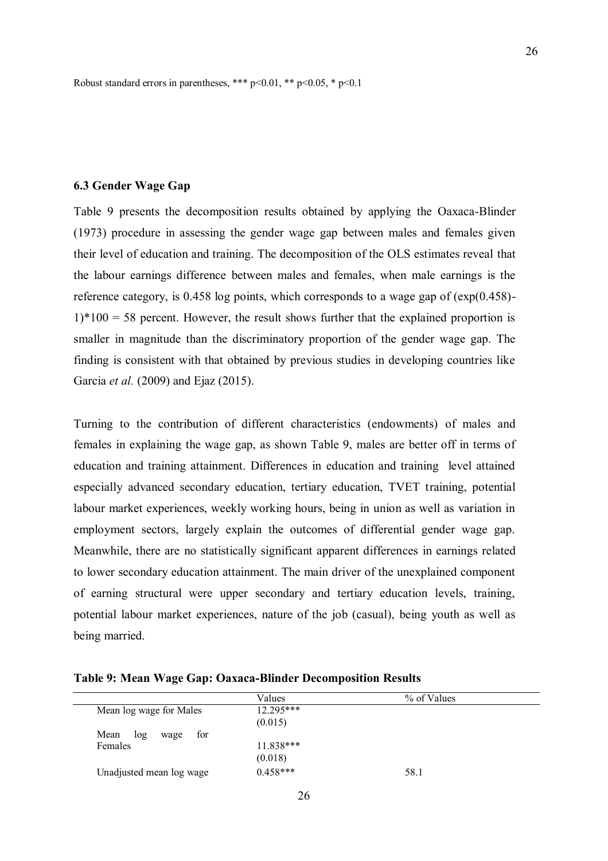Robust standard errors in parentheses, \*\*\* p<0.01, \*\* p<0.05, \* p<0.1

#### **6.3 Gender Wage Gap**

Table 9 presents the decomposition results obtained by applying the Oaxaca-Blinder (1973) procedure in assessing the gender wage gap between males and females given their level of education and training. The decomposition of the OLS estimates reveal that the labour earnings difference between males and females, when male earnings is the reference category, is 0.458 log points, which corresponds to a wage gap of (exp(0.458)-  $1$ <sup>\*</sup>100 = 58 percent. However, the result shows further that the explained proportion is smaller in magnitude than the discriminatory proportion of the gender wage gap. The finding is consistent with that obtained by previous studies in developing countries like Garcia *et al.* (2009) and Ejaz (2015).

Turning to the contribution of different characteristics (endowments) of males and females in explaining the wage gap, as shown Table 9, males are better off in terms of education and training attainment. Differences in education and training level attained especially advanced secondary education, tertiary education, TVET training, potential labour market experiences, weekly working hours, being in union as well as variation in employment sectors, largely explain the outcomes of differential gender wage gap. Meanwhile, there are no statistically significant apparent differences in earnings related to lower secondary education attainment. The main driver of the unexplained component of earning structural were upper secondary and tertiary education levels, training, potential labour market experiences, nature of the job (casual), being youth as well as being married.

**Table 9: Mean Wage Gap: Oaxaca-Blinder Decomposition Results**

|                          | Values      | % of Values |  |
|--------------------------|-------------|-------------|--|
| Mean log wage for Males  | $12.295***$ |             |  |
|                          | (0.015)     |             |  |
| Mean log<br>for<br>wage  |             |             |  |
| Females                  | $11.838***$ |             |  |
|                          | (0.018)     |             |  |
| Unadjusted mean log wage | $0.458***$  | 58.1        |  |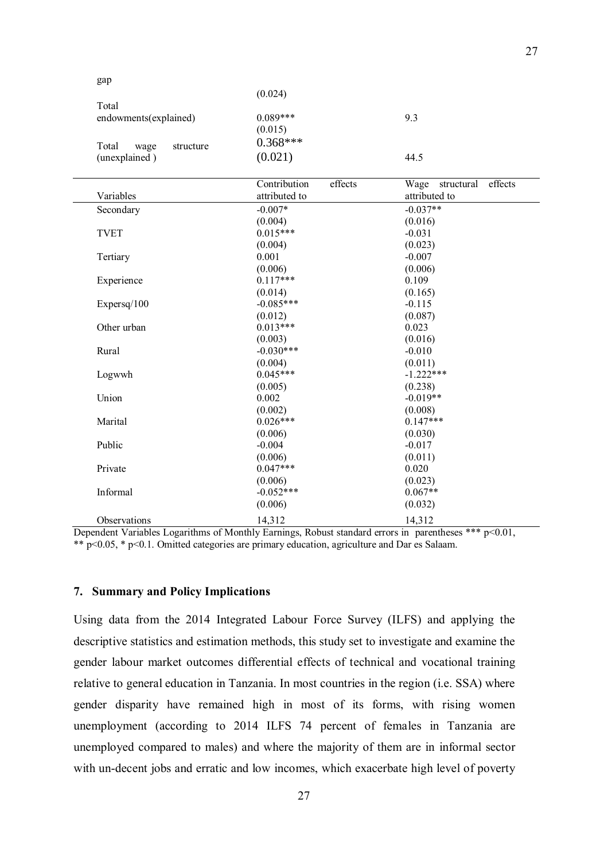(0.024)

| Total<br>endowments(explained)              | $0.089***$<br>(0.015)                    | 9.3                                            |
|---------------------------------------------|------------------------------------------|------------------------------------------------|
| Total<br>wage<br>structure<br>(unexplained) | $0.368***$<br>(0.021)                    | 44.5                                           |
| Variables                                   | Contribution<br>effects<br>attributed to | effects<br>structural<br>Wage<br>attributed to |
| Secondary                                   | $-0.007*$                                | $-0.037**$                                     |
|                                             | (0.004)                                  | (0.016)                                        |
| <b>TVET</b>                                 | $0.015***$                               | $-0.031$                                       |
|                                             | (0.004)                                  | (0.023)                                        |
| Tertiary                                    | 0.001                                    | $-0.007$                                       |
|                                             | (0.006)                                  | (0.006)                                        |
| Experience                                  | $0.117***$                               | 0.109                                          |
|                                             | (0.014)                                  | (0.165)                                        |
| Expersq/100                                 | $-0.085***$                              | $-0.115$                                       |
|                                             | (0.012)                                  | (0.087)                                        |
| Other urban                                 | $0.013***$                               | 0.023                                          |
|                                             | (0.003)                                  | (0.016)                                        |
| Rural                                       | $-0.030***$                              | $-0.010$                                       |
|                                             | (0.004)                                  | (0.011)                                        |
| Logwwh                                      | $0.045***$                               | $-1.222***$                                    |
|                                             | (0.005)                                  | (0.238)                                        |
| Union                                       | 0.002                                    | $-0.019**$                                     |
|                                             | (0.002)                                  | (0.008)                                        |
| Marital                                     | $0.026***$                               | $0.147***$                                     |
|                                             | (0.006)                                  | (0.030)                                        |
| Public                                      | $-0.004$                                 | $-0.017$                                       |
|                                             | (0.006)                                  | (0.011)                                        |
| Private                                     | $0.047***$                               | 0.020                                          |
|                                             | (0.006)                                  | (0.023)                                        |
| Informal                                    | $-0.052***$                              | $0.067**$                                      |
|                                             | (0.006)                                  | (0.032)                                        |
| Observations                                | 14,312                                   | 14,312                                         |

Dependent Variables Logarithms of Monthly Earnings, Robust standard errors in parentheses \*\*\* p<0.01, \*\* p<0.05, \* p<0.1. Omitted categories are primary education, agriculture and Dar es Salaam.

### **7. Summary and Policy Implications**

gap

Using data from the 2014 Integrated Labour Force Survey (ILFS) and applying the descriptive statistics and estimation methods, this study set to investigate and examine the gender labour market outcomes differential effects of technical and vocational training relative to general education in Tanzania. In most countries in the region (i.e. SSA) where gender disparity have remained high in most of its forms, with rising women unemployment (according to 2014 ILFS 74 percent of females in Tanzania are unemployed compared to males) and where the majority of them are in informal sector with un-decent jobs and erratic and low incomes, which exacerbate high level of poverty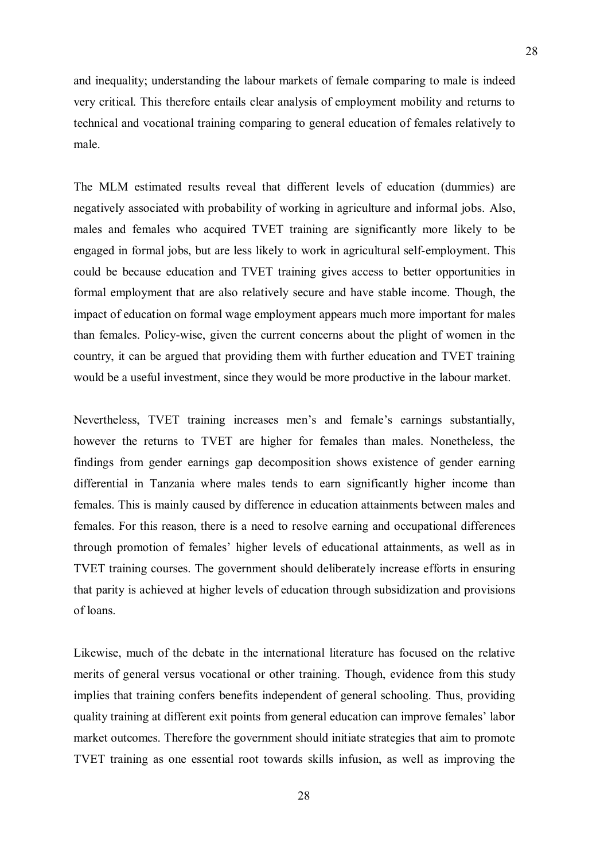and inequality; understanding the labour markets of female comparing to male is indeed very critical. This therefore entails clear analysis of employment mobility and returns to technical and vocational training comparing to general education of females relatively to male.

The MLM estimated results reveal that different levels of education (dummies) are negatively associated with probability of working in agriculture and informal jobs. Also, males and females who acquired TVET training are significantly more likely to be engaged in formal jobs, but are less likely to work in agricultural self-employment. This could be because education and TVET training gives access to better opportunities in formal employment that are also relatively secure and have stable income. Though, the impact of education on formal wage employment appears much more important for males than females. Policy-wise, given the current concerns about the plight of women in the country, it can be argued that providing them with further education and TVET training would be a useful investment, since they would be more productive in the labour market.

Nevertheless, TVET training increases men's and female's earnings substantially, however the returns to TVET are higher for females than males. Nonetheless, the findings from gender earnings gap decomposition shows existence of gender earning differential in Tanzania where males tends to earn significantly higher income than females. This is mainly caused by difference in education attainments between males and females. For this reason, there is a need to resolve earning and occupational differences through promotion of females" higher levels of educational attainments, as well as in TVET training courses. The government should deliberately increase efforts in ensuring that parity is achieved at higher levels of education through subsidization and provisions of loans.

Likewise, much of the debate in the international literature has focused on the relative merits of general versus vocational or other training. Though, evidence from this study implies that training confers benefits independent of general schooling. Thus, providing quality training at different exit points from general education can improve females" labor market outcomes. Therefore the government should initiate strategies that aim to promote TVET training as one essential root towards skills infusion, as well as improving the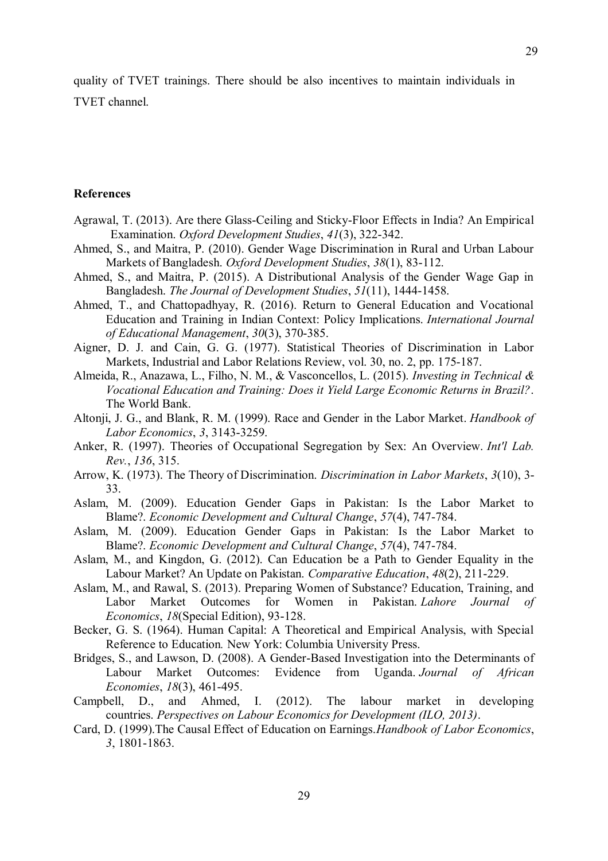quality of TVET trainings. There should be also incentives to maintain individuals in TVET channel.

### **References**

- Agrawal, T. (2013). Are there Glass-Ceiling and Sticky-Floor Effects in India? An Empirical Examination. *Oxford Development Studies*, *41*(3), 322-342.
- Ahmed, S., and Maitra, P. (2010). Gender Wage Discrimination in Rural and Urban Labour Markets of Bangladesh. *Oxford Development Studies*, *38*(1), 83-112.
- Ahmed, S., and Maitra, P. (2015). A Distributional Analysis of the Gender Wage Gap in Bangladesh. *The Journal of Development Studies*, *51*(11), 1444-1458.
- Ahmed, T., and Chattopadhyay, R. (2016). Return to General Education and Vocational Education and Training in Indian Context: Policy Implications. *International Journal of Educational Management*, *30*(3), 370-385.
- Aigner, D. J. and Cain, G. G. (1977). Statistical Theories of Discrimination in Labor Markets, Industrial and Labor Relations Review, vol. 30, no. 2, pp. 175-187.
- Almeida, R., Anazawa, L., Filho, N. M., & Vasconcellos, L. (2015). *Investing in Technical & Vocational Education and Training: Does it Yield Large Economic Returns in Brazil?*. The World Bank.
- Altonji, J. G., and Blank, R. M. (1999). Race and Gender in the Labor Market. *Handbook of Labor Economics*, *3*, 3143-3259.
- Anker, R. (1997). Theories of Occupational Segregation by Sex: An Overview. *Int'l Lab. Rev.*, *136*, 315.
- Arrow, K. (1973). The Theory of Discrimination. *Discrimination in Labor Markets*, *3*(10), 3- 33.
- Aslam, M. (2009). Education Gender Gaps in Pakistan: Is the Labor Market to Blame?. *Economic Development and Cultural Change*, *57*(4), 747-784.
- Aslam, M. (2009). Education Gender Gaps in Pakistan: Is the Labor Market to Blame?. *Economic Development and Cultural Change*, *57*(4), 747-784.
- Aslam, M., and Kingdon, G. (2012). Can Education be a Path to Gender Equality in the Labour Market? An Update on Pakistan. *Comparative Education*, *48*(2), 211-229.
- Aslam, M., and Rawal, S. (2013). Preparing Women of Substance? Education, Training, and Labor Market Outcomes for Women in Pakistan. *Lahore Journal of Economics*, *18*(Special Edition), 93-128.
- Becker, G. S. (1964). Human Capital: A Theoretical and Empirical Analysis, with Special Reference to Education*.* New York: Columbia University Press.
- Bridges, S., and Lawson, D. (2008). A Gender-Based Investigation into the Determinants of Labour Market Outcomes: Evidence from Uganda. *Journal of African Economies*, *18*(3), 461-495.
- Campbell, D., and Ahmed, I. (2012). The labour market in developing countries. *Perspectives on Labour Economics for Development (ILO, 2013)*.
- Card, D. (1999).The Causal Effect of Education on Earnings.*Handbook of Labor Economics*, *3*, 1801-1863.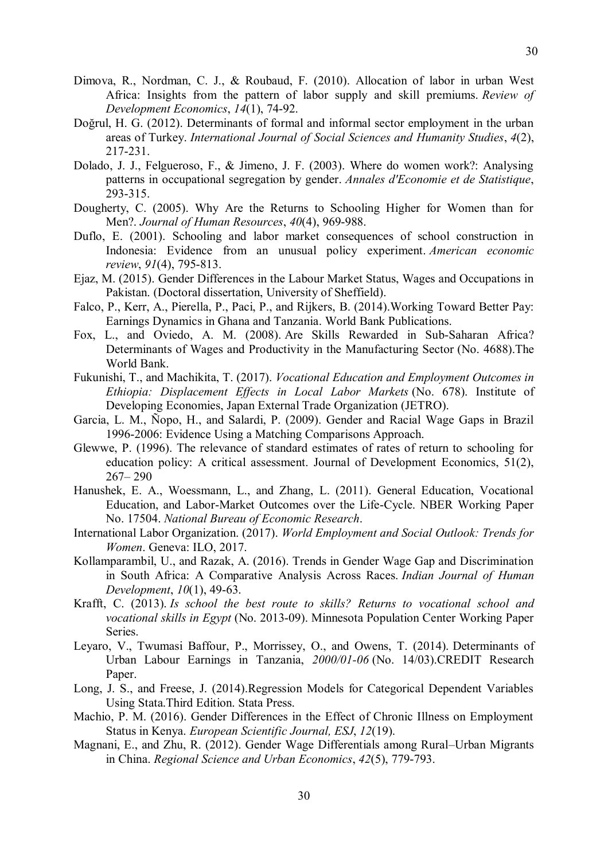- Dimova, R., Nordman, C. J., & Roubaud, F. (2010). Allocation of labor in urban West Africa: Insights from the pattern of labor supply and skill premiums. *Review of Development Economics*, *14*(1), 74-92.
- Doğrul, H. G. (2012). Determinants of formal and informal sector employment in the urban areas of Turkey. *International Journal of Social Sciences and Humanity Studies*, *4*(2), 217-231.
- Dolado, J. J., Felgueroso, F., & Jimeno, J. F. (2003). Where do women work?: Analysing patterns in occupational segregation by gender. *Annales d'Economie et de Statistique*, 293-315.
- Dougherty, C. (2005). Why Are the Returns to Schooling Higher for Women than for Men?. *Journal of Human Resources*, *40*(4), 969-988.
- Duflo, E. (2001). Schooling and labor market consequences of school construction in Indonesia: Evidence from an unusual policy experiment. *American economic review*, *91*(4), 795-813.
- Ejaz, M. (2015). Gender Differences in the Labour Market Status, Wages and Occupations in Pakistan. (Doctoral dissertation, University of Sheffield).
- Falco, P., Kerr, A., Pierella, P., Paci, P., and Rijkers, B. (2014).Working Toward Better Pay: Earnings Dynamics in Ghana and Tanzania. World Bank Publications.
- Fox, L., and Oviedo, A. M. (2008). Are Skills Rewarded in Sub-Saharan Africa? Determinants of Wages and Productivity in the Manufacturing Sector (No. 4688).The World Bank.
- Fukunishi, T., and Machikita, T. (2017). *Vocational Education and Employment Outcomes in Ethiopia: Displacement Effects in Local Labor Markets* (No. 678). Institute of Developing Economies, Japan External Trade Organization (JETRO).
- Garcia, L. M., Ñopo, H., and Salardi, P. (2009). Gender and Racial Wage Gaps in Brazil 1996-2006: Evidence Using a Matching Comparisons Approach.
- Glewwe, P. (1996). The relevance of standard estimates of rates of return to schooling for education policy: A critical assessment. Journal of Development Economics, 51(2), 267– 290
- Hanushek, E. A., Woessmann, L., and Zhang, L. (2011). General Education, Vocational Education, and Labor-Market Outcomes over the Life-Cycle. NBER Working Paper No. 17504. *National Bureau of Economic Research*.
- International Labor Organization. (2017). *World Employment and Social Outlook: Trends for Women*. Geneva: ILO, 2017.
- Kollamparambil, U., and Razak, A. (2016). Trends in Gender Wage Gap and Discrimination in South Africa: A Comparative Analysis Across Races. *Indian Journal of Human Development*, *10*(1), 49-63.
- Krafft, C. (2013). *Is school the best route to skills? Returns to vocational school and vocational skills in Egypt* (No. 2013-09). Minnesota Population Center Working Paper Series.
- Leyaro, V., Twumasi Baffour, P., Morrissey, O., and Owens, T. (2014). Determinants of Urban Labour Earnings in Tanzania, *2000/01-06* (No. 14/03).CREDIT Research Paper.
- Long, J. S., and Freese, J. (2014).Regression Models for Categorical Dependent Variables Using Stata.Third Edition. Stata Press.
- Machio, P. M. (2016). Gender Differences in the Effect of Chronic Illness on Employment Status in Kenya. *European Scientific Journal, ESJ*, *12*(19).
- Magnani, E., and Zhu, R. (2012). Gender Wage Differentials among Rural–Urban Migrants in China. *Regional Science and Urban Economics*, *42*(5), 779-793.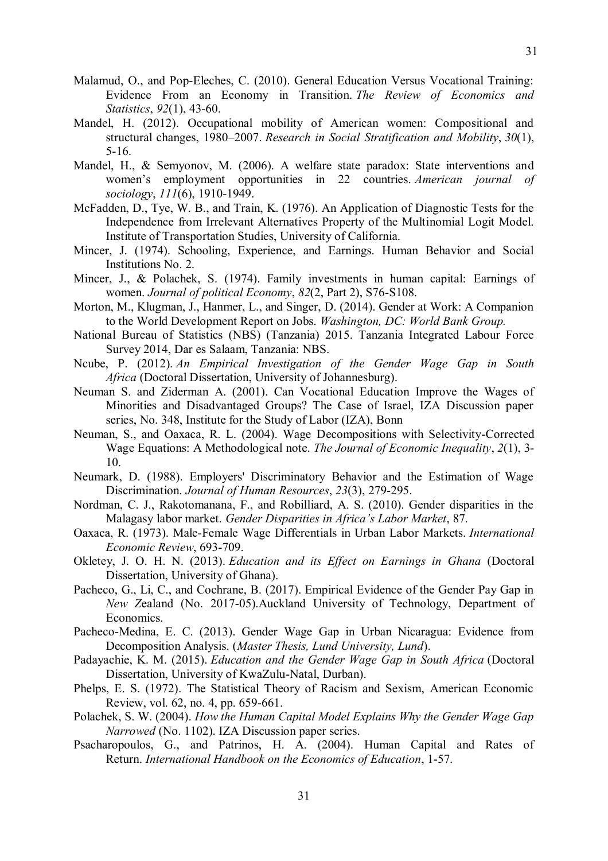- Malamud, O., and Pop-Eleches, C. (2010). General Education Versus Vocational Training: Evidence From an Economy in Transition. *The Review of Economics and Statistics*, *92*(1), 43-60.
- Mandel, H. (2012). Occupational mobility of American women: Compositional and structural changes, 1980–2007. *Research in Social Stratification and Mobility*, *30*(1), 5-16.
- Mandel, H., & Semyonov, M. (2006). A welfare state paradox: State interventions and women"s employment opportunities in 22 countries. *American journal of sociology*, *111*(6), 1910-1949.
- McFadden, D., Tye, W. B., and Train, K. (1976). An Application of Diagnostic Tests for the Independence from Irrelevant Alternatives Property of the Multinomial Logit Model. Institute of Transportation Studies, University of California.
- Mincer, J. (1974). Schooling, Experience, and Earnings. Human Behavior and Social Institutions No. 2.
- Mincer, J., & Polachek, S. (1974). Family investments in human capital: Earnings of women. *Journal of political Economy*, *82*(2, Part 2), S76-S108.
- Morton, M., Klugman, J., Hanmer, L., and Singer, D. (2014). Gender at Work: A Companion to the World Development Report on Jobs. *Washington, DC: World Bank Group.*
- National Bureau of Statistics (NBS) (Tanzania) 2015. Tanzania Integrated Labour Force Survey 2014, Dar es Salaam, Tanzania: NBS.
- Ncube, P. (2012). *An Empirical Investigation of the Gender Wage Gap in South Africa* (Doctoral Dissertation, University of Johannesburg).
- Neuman S. and Ziderman A. (2001). Can Vocational Education Improve the Wages of Minorities and Disadvantaged Groups? The Case of Israel, IZA Discussion paper series, No. 348, Institute for the Study of Labor (IZA), Bonn
- Neuman, S., and Oaxaca, R. L. (2004). Wage Decompositions with Selectivity-Corrected Wage Equations: A Methodological note. *The Journal of Economic Inequality*, *2*(1), 3- 10.
- Neumark, D. (1988). Employers' Discriminatory Behavior and the Estimation of Wage Discrimination. *Journal of Human Resources*, *23*(3), 279-295.
- Nordman, C. J., Rakotomanana, F., and Robilliard, A. S. (2010). Gender disparities in the Malagasy labor market. *Gender Disparities in Africa's Labor Market*, 87.
- Oaxaca, R. (1973). Male-Female Wage Differentials in Urban Labor Markets. *International Economic Review*, 693-709.
- Okletey, J. O. H. N. (2013). *Education and its Effect on Earnings in Ghana* (Doctoral Dissertation, University of Ghana).
- Pacheco, G., Li, C., and Cochrane, B. (2017). Empirical Evidence of the Gender Pay Gap in *New Z*ealand (No. 2017-05).Auckland University of Technology, Department of Economics.
- Pacheco-Medina, E. C. (2013). Gender Wage Gap in Urban Nicaragua: Evidence from Decomposition Analysis. (*Master Thesis, Lund University, Lund*).
- Padayachie, K. M. (2015). *Education and the Gender Wage Gap in South Africa* (Doctoral Dissertation, University of KwaZulu-Natal, Durban).
- Phelps, E. S. (1972). The Statistical Theory of Racism and Sexism, American Economic Review, vol. 62, no. 4, pp. 659-661.
- Polachek, S. W. (2004). *How the Human Capital Model Explains Why the Gender Wage Gap Narrowed* (No. 1102). IZA Discussion paper series.
- Psacharopoulos, G., and Patrinos, H. A. (2004). Human Capital and Rates of Return. *International Handbook on the Economics of Education*, 1-57.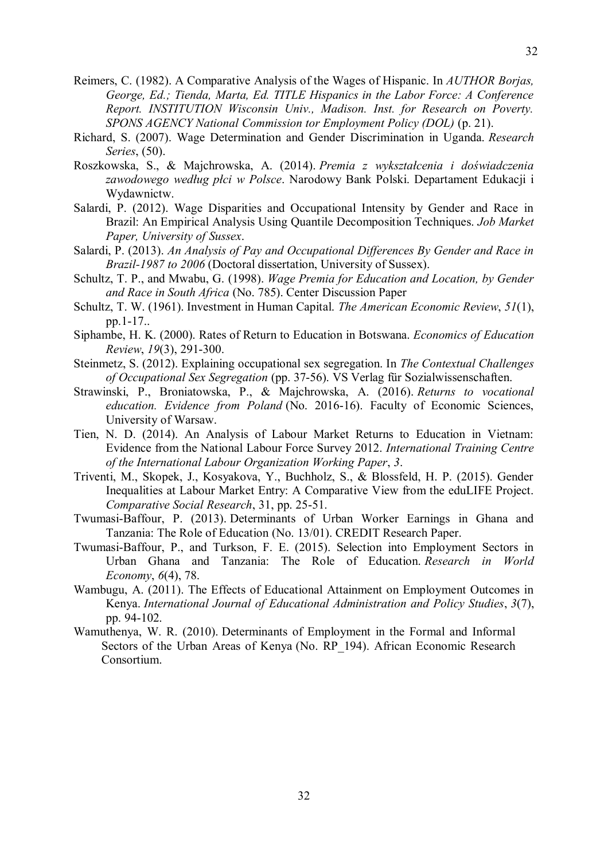- Reimers, C. (1982). A Comparative Analysis of the Wages of Hispanic. In *AUTHOR Borjas, George, Ed.; Tienda, Marta, Ed. TITLE Hispanics in the Labor Force: A Conference Report. INSTITUTION Wisconsin Univ., Madison. Inst. for Research on Poverty. SPONS AGENCY National Commission tor Employment Policy (DOL)* (p. 21).
- Richard, S. (2007). Wage Determination and Gender Discrimination in Uganda. *Research Series*, (50).
- Roszkowska, S., & Majchrowska, A. (2014). *Premia z wykształcenia i doświadczenia zawodowego według płci w Polsce*. Narodowy Bank Polski. Departament Edukacji i Wydawnictw.
- Salardi, P. (2012). Wage Disparities and Occupational Intensity by Gender and Race in Brazil: An Empirical Analysis Using Quantile Decomposition Techniques. *Job Market Paper, University of Sussex*.
- Salardi, P. (2013). *An Analysis of Pay and Occupational Differences By Gender and Race in Brazil-1987 to 2006* (Doctoral dissertation, University of Sussex).
- Schultz, T. P., and Mwabu, G. (1998). *Wage Premia for Education and Location, by Gender and Race in South Africa* (No. 785). Center Discussion Paper
- Schultz, T. W. (1961). Investment in Human Capital. *The American Economic Review*, *51*(1), pp.1-17..
- Siphambe, H. K. (2000). Rates of Return to Education in Botswana. *Economics of Education Review*, *19*(3), 291-300.
- Steinmetz, S. (2012). Explaining occupational sex segregation. In *The Contextual Challenges of Occupational Sex Segregation* (pp. 37-56). VS Verlag für Sozialwissenschaften.
- Strawinski, P., Broniatowska, P., & Majchrowska, A. (2016). *Returns to vocational education. Evidence from Poland* (No. 2016-16). Faculty of Economic Sciences, University of Warsaw.
- Tien, N. D. (2014). An Analysis of Labour Market Returns to Education in Vietnam: Evidence from the National Labour Force Survey 2012. *International Training Centre of the International Labour Organization Working Paper*, *3*.
- Triventi, M., Skopek, J., Kosyakova, Y., Buchholz, S., & Blossfeld, H. P. (2015). Gender Inequalities at Labour Market Entry: A Comparative View from the eduLIFE Project. *Comparative Social Research*, 31, pp. 25-51.
- Twumasi-Baffour, P. (2013). Determinants of Urban Worker Earnings in Ghana and Tanzania: The Role of Education (No. 13/01). CREDIT Research Paper.
- Twumasi-Baffour, P., and Turkson, F. E. (2015). Selection into Employment Sectors in Urban Ghana and Tanzania: The Role of Education. *Research in World Economy*, *6*(4), 78.
- Wambugu, A. (2011). The Effects of Educational Attainment on Employment Outcomes in Kenya. *International Journal of Educational Administration and Policy Studies*, *3*(7), pp. 94-102.
- Wamuthenya, W. R. (2010). Determinants of Employment in the Formal and Informal Sectors of the Urban Areas of Kenya (No. RP\_194). African Economic Research Consortium.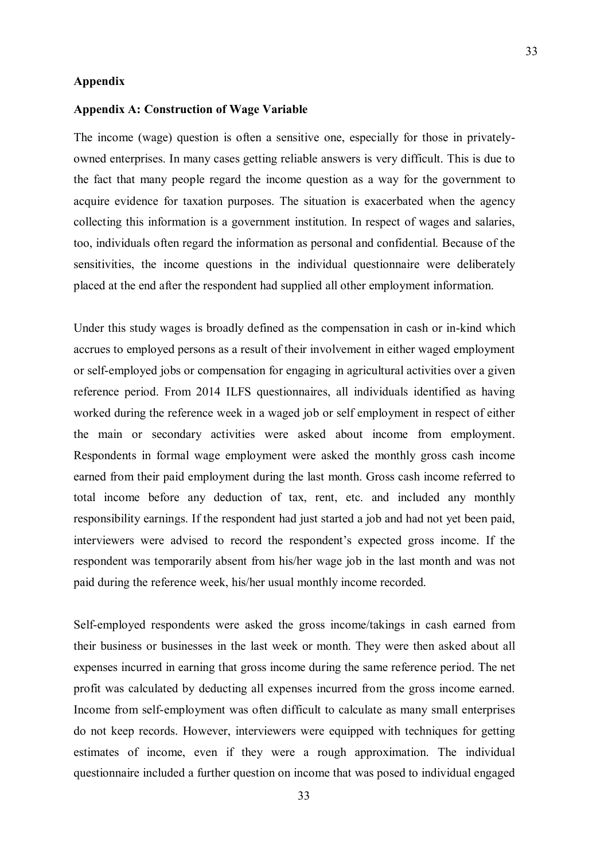#### **Appendix**

#### **Appendix A: Construction of Wage Variable**

The income (wage) question is often a sensitive one, especially for those in privatelyowned enterprises. In many cases getting reliable answers is very difficult. This is due to the fact that many people regard the income question as a way for the government to acquire evidence for taxation purposes. The situation is exacerbated when the agency collecting this information is a government institution. In respect of wages and salaries, too, individuals often regard the information as personal and confidential. Because of the sensitivities, the income questions in the individual questionnaire were deliberately placed at the end after the respondent had supplied all other employment information.

Under this study wages is broadly defined as the compensation in cash or in-kind which accrues to employed persons as a result of their involvement in either waged employment or self-employed jobs or compensation for engaging in agricultural activities over a given reference period. From 2014 ILFS questionnaires, all individuals identified as having worked during the reference week in a waged job or self employment in respect of either the main or secondary activities were asked about income from employment. Respondents in formal wage employment were asked the monthly gross cash income earned from their paid employment during the last month. Gross cash income referred to total income before any deduction of tax, rent, etc. and included any monthly responsibility earnings. If the respondent had just started a job and had not yet been paid, interviewers were advised to record the respondent"s expected gross income. If the respondent was temporarily absent from his/her wage job in the last month and was not paid during the reference week, his/her usual monthly income recorded.

Self-employed respondents were asked the gross income/takings in cash earned from their business or businesses in the last week or month. They were then asked about all expenses incurred in earning that gross income during the same reference period. The net profit was calculated by deducting all expenses incurred from the gross income earned. Income from self-employment was often difficult to calculate as many small enterprises do not keep records. However, interviewers were equipped with techniques for getting estimates of income, even if they were a rough approximation. The individual questionnaire included a further question on income that was posed to individual engaged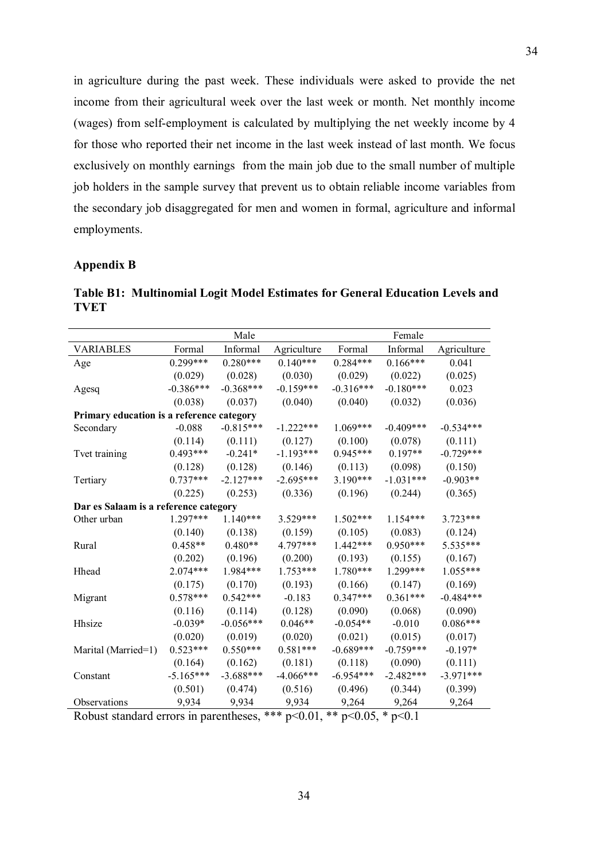in agriculture during the past week. These individuals were asked to provide the net income from their agricultural week over the last week or month. Net monthly income (wages) from self-employment is calculated by multiplying the net weekly income by 4 for those who reported their net income in the last week instead of last month. We focus exclusively on monthly earnings from the main job due to the small number of multiple job holders in the sample survey that prevent us to obtain reliable income variables from the secondary job disaggregated for men and women in formal, agriculture and informal employments.

### **Appendix B**

**Table B1: Multinomial Logit Model Estimates for General Education Levels and TVET**

|                                                                               | Male        |             |             | Female      |             |             |  |  |  |  |
|-------------------------------------------------------------------------------|-------------|-------------|-------------|-------------|-------------|-------------|--|--|--|--|
| <b>VARIABLES</b>                                                              | Formal      | Informal    | Agriculture | Formal      | Informal    | Agriculture |  |  |  |  |
| Age                                                                           | 0.299***    | $0.280***$  | $0.140***$  | $0.284***$  | $0.166***$  | 0.041       |  |  |  |  |
|                                                                               | (0.029)     | (0.028)     | (0.030)     | (0.029)     | (0.022)     | (0.025)     |  |  |  |  |
| Agesq                                                                         | $-0.386***$ | $-0.368***$ | $-0.159***$ | $-0.316***$ | $-0.180***$ | 0.023       |  |  |  |  |
|                                                                               | (0.038)     | (0.037)     | (0.040)     | (0.040)     | (0.032)     | (0.036)     |  |  |  |  |
| Primary education is a reference category                                     |             |             |             |             |             |             |  |  |  |  |
| Secondary                                                                     | $-0.088$    | $-0.815***$ | $-1.222***$ | $1.069***$  | $-0.409***$ | $-0.534***$ |  |  |  |  |
|                                                                               | (0.114)     | (0.111)     | (0.127)     | (0.100)     | (0.078)     | (0.111)     |  |  |  |  |
| Tvet training                                                                 | $0.493***$  | $-0.241*$   | $-1.193***$ | $0.945***$  | $0.197**$   | $-0.729***$ |  |  |  |  |
|                                                                               | (0.128)     | (0.128)     | (0.146)     | (0.113)     | (0.098)     | (0.150)     |  |  |  |  |
| Tertiary                                                                      | $0.737***$  | $-2.127***$ | $-2.695***$ | $3.190***$  | $-1.031***$ | $-0.903**$  |  |  |  |  |
|                                                                               | (0.225)     | (0.253)     | (0.336)     | (0.196)     | (0.244)     | (0.365)     |  |  |  |  |
| Dar es Salaam is a reference category                                         |             |             |             |             |             |             |  |  |  |  |
| Other urban                                                                   | $1.297***$  | $1.140***$  | 3.529***    | $1.502***$  | $1.154***$  | 3.723***    |  |  |  |  |
|                                                                               | (0.140)     | (0.138)     | (0.159)     | (0.105)     | (0.083)     | (0.124)     |  |  |  |  |
| Rural                                                                         | $0.458**$   | $0.480**$   | 4.797***    | $1.442***$  | $0.950***$  | 5.535***    |  |  |  |  |
|                                                                               | (0.202)     | (0.196)     | (0.200)     | (0.193)     | (0.155)     | (0.167)     |  |  |  |  |
| Hhead                                                                         | $2.074***$  | 1.984***    | $1.753***$  | 1.780***    | 1.299***    | 1.055***    |  |  |  |  |
|                                                                               | (0.175)     | (0.170)     | (0.193)     | (0.166)     | (0.147)     | (0.169)     |  |  |  |  |
| Migrant                                                                       | $0.578***$  | $0.542***$  | $-0.183$    | $0.347***$  | $0.361***$  | $-0.484***$ |  |  |  |  |
|                                                                               | (0.116)     | (0.114)     | (0.128)     | (0.090)     | (0.068)     | (0.090)     |  |  |  |  |
| Hhsize                                                                        | $-0.039*$   | $-0.056***$ | $0.046**$   | $-0.054**$  | $-0.010$    | $0.086***$  |  |  |  |  |
|                                                                               | (0.020)     | (0.019)     | (0.020)     | (0.021)     | (0.015)     | (0.017)     |  |  |  |  |
| Marital (Married=1)                                                           | $0.523***$  | $0.550***$  | $0.581***$  | $-0.689***$ | $-0.759***$ | $-0.197*$   |  |  |  |  |
|                                                                               | (0.164)     | (0.162)     | (0.181)     | (0.118)     | (0.090)     | (0.111)     |  |  |  |  |
| Constant                                                                      | $-5.165***$ | $-3.688***$ | $-4.066***$ | $-6.954***$ | $-2.482***$ | $-3.971***$ |  |  |  |  |
|                                                                               | (0.501)     | (0.474)     | (0.516)     | (0.496)     | (0.344)     | (0.399)     |  |  |  |  |
| Observations                                                                  | 9,934       | 9,934       | 9,934       | 9,264       | 9,264       | 9,264       |  |  |  |  |
| Robust standard errors in parentheses, *** p<0.01,<br>** $p<0.05$ , * $p<0.1$ |             |             |             |             |             |             |  |  |  |  |